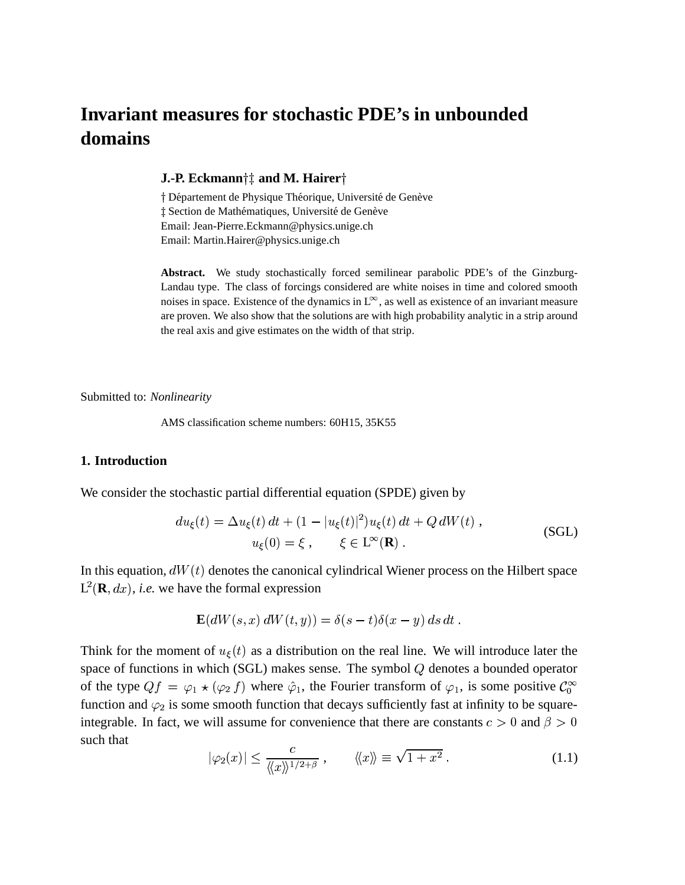# **Invariant measures for stochastic PDE's in unbounded domains**

#### **J.-P.** Eckmann†‡ and M. Hairer†

† Département de Physique Théorique, Université de Genève ‡ Section de Mathématiques, Université de Genève Email: Jean-Pierre.Eckmann@physics.unige.ch Email: Martin.Hairer@physics.unige.ch

**Abstract.** We study stochastically forced semilinear parabolic PDE's of the Ginzburg-Landau type. The class of forcings considered are white noises in time and colored smooth noises in space. Existence of the dynamics in  $L^{\infty}$ , as well as existence of an invariant measure are proven. We also show that the solutions are with high probability analytic in a strip around the real axis and give estimates on the width of that strip.

Submitted to: *Nonlinearity*

AMS classification scheme numbers: 60H15, 35K55

#### **1. Introduction**

We consider the stochastic partial differential equation (SPDE) given by

$$
du_{\xi}(t) = \Delta u_{\xi}(t) dt + (1 - |u_{\xi}(t)|^2) u_{\xi}(t) dt + Q dW(t),
$$
  
\n
$$
u_{\xi}(0) = \xi, \qquad \xi \in \mathbb{L}^{\infty}(\mathbb{R}).
$$
\n(SGL)

In this equation,  $dW(t)$  denotes the canonical cylindrical Wiener process on the Hilbert space  $L^2(\mathbf{R}, dx)$ , *i.e.* we have the formal expression

$$
\mathbf{E}(dW(s,x) dW(t,y)) = \delta(s-t)\delta(x-y) ds dt.
$$

Think for the moment of  $u_{\xi}(t)$  as a distribution on the real line. We will introduce later the space of functions in which (SGL) makes sense. The symbol  $Q$  denotes a bounded operator of the type  $Qf = \varphi_1 \star (\varphi_2 f)$  where  $\hat{\varphi}_1$ , the Fourier transform of  $\varphi_1$ , is some positive  $\mathcal{C}_0^{\infty}$ function and  $\varphi_2$  is some smooth function that decays sufficiently fast at infinity to be squareintegrable. In fact, we will assume for convenience that there are constants  $c > 0$  and  $\beta > 0$ such that

$$
|\varphi_2(x)| \le \frac{c}{\langle\!\langle x\rangle\!\rangle^{1/2+\beta}}, \qquad \langle\!\langle x\rangle\!\rangle \equiv \sqrt{1+x^2} . \tag{1.1}
$$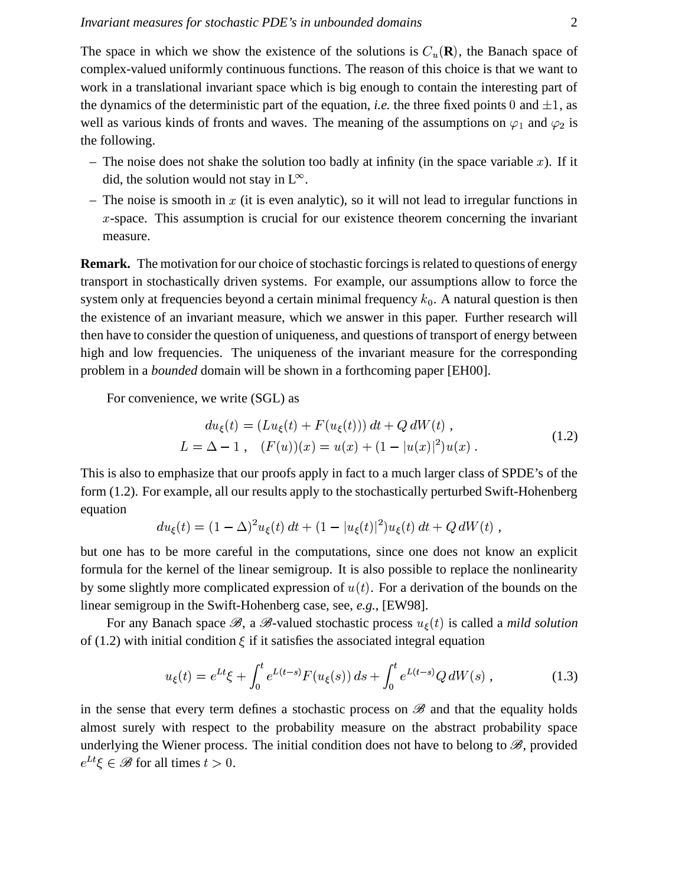The space in which we show the existence of the solutions is  $C_u(\mathbf{R})$ , the Banach space of complex-valued uniformly continuous functions. The reason of this choice is that we want to work in a translational invariant space which is big enough to contain the interesting part of the dynamics of the deterministic part of the equation, *i.e.* the three fixed points 0 and  $\pm 1$ , as well as various kinds of fronts and waves. The meaning of the assumptions on  $\varphi_1$  and  $\varphi_2$  is the following.

- The noise does not shake the solution too badly at infinity (in the space variable  $x$ ). If it did, the solution would not stay in  $L^{\infty}$ .
- The noise is smooth in  $x$  (it is even analytic), so it will not lead to irregular functions in  $x$ -space. This assumption is crucial for our existence theorem concerning the invariant measure.

**Remark.** The motivation for our choice of stochastic forcings is related to questions of energy transport in stochastically driven systems. For example, our assumptions allow to force the system only at frequencies beyond a certain minimal frequency  $k_0$ . A natural question is then the existence of an invariant measure, which we answer in this paper. Further research will then have to consider the question of uniqueness, and questions of transport of energy between high and low frequencies. The uniqueness of the invariant measure for the corresponding problem in a *bounded* domain will be shown in a forthcoming paper [EH00].

For convenience, we write (SGL) as

$$
du_{\xi}(t) = (Lu_{\xi}(t) + F(u_{\xi}(t))) dt + Q dW(t),
$$
  
\n
$$
L = \Delta - 1 , \quad (F(u))(x) = u(x) + (1 - |u(x)|^2)u(x) .
$$
\n(1.2)

This is also to emphasize that our proofs apply in fact to a much larger class of SPDE's of the form (1.2). For example, all our results apply to the stochastically perturbed Swift-Hohenberg equation

$$
du_{\xi}(t) = (1 - \Delta)^2 u_{\xi}(t) dt + (1 - |u_{\xi}(t)|^2) u_{\xi}(t) dt + Q dW(t) ,
$$

but one has to be more careful in the computations, since one does not know an explicit formula for the kernel of the linear semigroup. It is also possible to replace the nonlinearity by some slightly more complicated expression of  $u(t)$ . For a derivation of the bounds on the linear semigroup in the Swift-Hohenberg case, see, *e.g.*, [EW98].

For any Banach space  $\mathscr{B}$ , a  $\mathscr{B}$ -valued stochastic process  $u_{\xi}(t)$  is called a *mild solution* of (1.2) with initial condition  $\xi$  if it satisfies the associated integral equation

$$
u_{\xi}(t) = e^{Lt}\xi + \int_0^t e^{L(t-s)}F(u_{\xi}(s))\,ds + \int_0^t e^{L(t-s)}Q\,dW(s) ,\qquad (1.3)
$$

in the sense that every term defines a stochastic process on  $\mathscr B$  and that the equality holds almost surely with respect to the probability measure on the abstract probability space underlying the Wiener process. The initial condition does not have to belong to  $\mathscr{B}$ , provided  $e^{Lt}\xi \in \mathscr{B}$  for all times  $t > 0$ .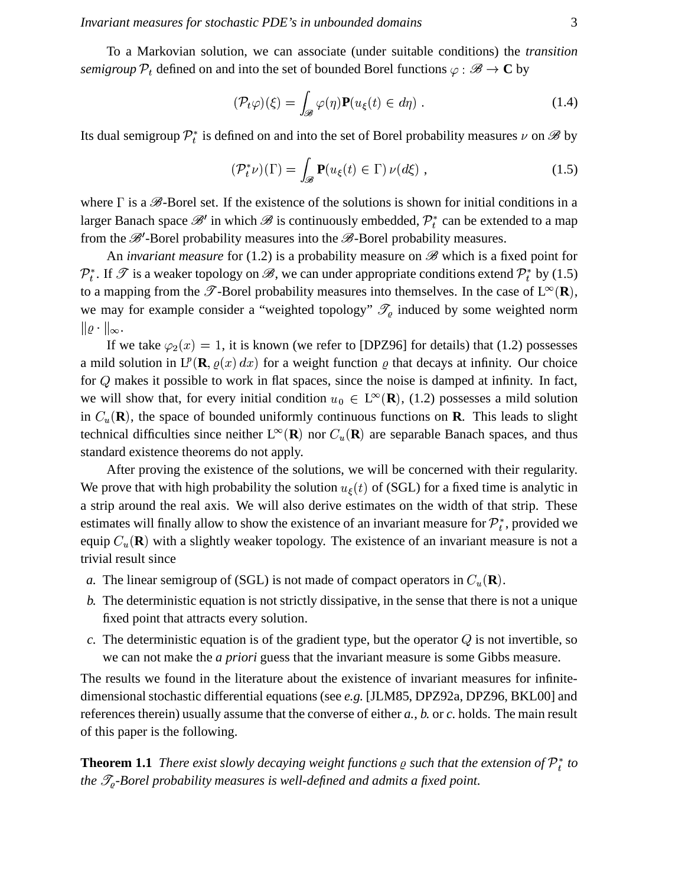To a Markovian solution, we can associate (under suitable conditions) the *transition semigroup*  $\mathcal{P}_t$  defined on and into the set of bounded Borel functions  $\varphi : \mathscr{B} \to \mathbb{C}$  by

$$
(\mathcal{P}_t \varphi)(\xi) = \int_{\mathscr{B}} \varphi(\eta) \mathbf{P}(u_{\xi}(t) \in d\eta) . \tag{1.4}
$$

Its dual semigroup  $\mathcal{P}_t^*$  is defined on and into the set of Borel probability measures  $\nu$  on  $\mathscr{B}$  by

$$
(\mathcal{P}_t^*\nu)(\Gamma) = \int_{\mathscr{B}} \mathbf{P}(u_\xi(t) \in \Gamma) \nu(d\xi) , \qquad (1.5)
$$

where  $\Gamma$  is a  $\mathscr{B}$ -Borel set. If the existence of the solutions is shown for initial conditions in a larger Banach space  $\mathscr{B}'$  in which  $\mathscr{B}$  is continuously embedded,  $\mathcal{P}_t^*$  can be extended to a map from the  $\mathscr{B}'$ -Borel probability measures into the  $\mathscr{B}$ -Borel probability measures.

An *invariant measure* for (1.2) is a probability measure on  $\mathscr{B}$  which is a fixed point for  $\mathcal{P}_t^*$ . If  $\mathscr T$  is a weaker topology on  $\mathscr B$ , we can under appropriate conditions extend  $\mathcal{P}_t^*$  by (1.5) to a mapping from the  $\mathscr{T}$ -Borel probability measures into themselves. In the case of  $L^{\infty}(\mathbf{R})$ , we may for example consider a "weighted topology"  $\mathcal{T}_{\varrho}$  induced by some weighted norm  $\|\varrho\cdot\|_{\infty}.$ 

If we take  $\varphi_2(x) = 1$ , it is known (we refer to [DPZ96] for details) that (1.2) possesses a mild solution in  $L^p(\mathbf{R}, \varrho(x) dx)$  for a weight function  $\varrho$  that decays at infinity. Our choice for  $Q$  makes it possible to work in flat spaces, since the noise is damped at infinity. In fact, we will show that, for every initial condition  $u_0 \in L^{\infty}(\mathbf{R})$ , (1.2) possesses a mild solution in  $C_u(\mathbf{R})$ , the space of bounded uniformly continuous functions on **R**. This leads to slight technical difficulties since neither  $L^{\infty}(\mathbf{R})$  nor  $C_u(\mathbf{R})$  are separable Banach spaces, and thus standard existence theorems do not apply.

After proving the existence of the solutions, we will be concerned with their regularity. We prove that with high probability the solution  $u_{\xi}(t)$  of (SGL) for a fixed time is analytic in a strip around the real axis. We will also derive estimates on the width of that strip. These estimates will finally allow to show the existence of an invariant measure for  $\mathcal{P}_t^*$ , provided we equip  $C_u(\mathbf{R})$  with a slightly weaker topology. The existence of an invariant measure is not a trivial result since

- *a*. The linear semigroup of (SGL) is not made of compact operators in  $C_u(\mathbf{R})$ .
- *b.* The deterministic equation is not strictly dissipative, in the sense that there is not a unique fixed point that attracts every solution.
- $c$ . The deterministic equation is of the gradient type, but the operator  $Q$  is not invertible, so we can not make the *a priori* guess that the invariant measure is some Gibbs measure.

The results we found in the literature about the existence of invariant measures for infinitedimensional stochastic differential equations (see *e.g.* [JLM85, DPZ92a, DPZ96, BKL00] and references therein) usually assume that the converse of either *a.*, *b.* or *c.* holds. The main result of this paper is the following.

**Theorem 1.1** *There exist slowly decaying weight functions*  $\varrho$  *such that the extension of*  $\mathcal{P}_t^*$  to *the -Borel probability measures is well-defined and admits a fixed point.*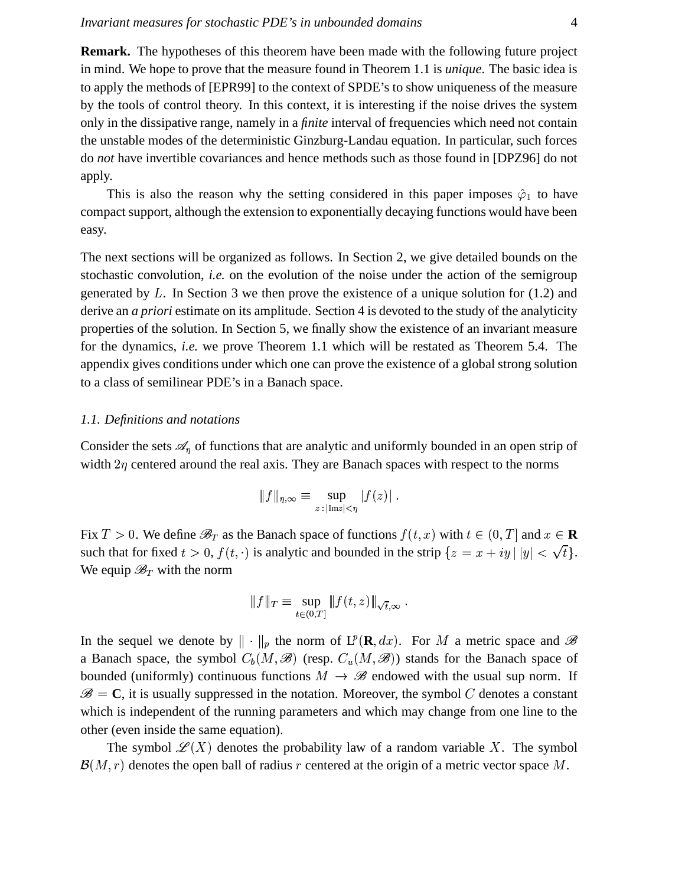**Remark.** The hypotheses of this theorem have been made with the following future project in mind. We hope to prove that the measure found in Theorem 1.1 is *unique*. The basic idea is to apply the methods of [EPR99] to the context of SPDE's to show uniqueness of the measure by the tools of control theory. In this context, it is interesting if the noise drives the system only in the dissipative range, namely in a *finite* interval of frequencies which need not contain the unstable modes of the deterministic Ginzburg-Landau equation. In particular, such forces do *not* have invertible covariances and hence methods such as those found in [DPZ96] do not apply.

This is also the reason why the setting considered in this paper imposes  $\hat{\varphi}_1$  to have compact support, although the extension to exponentially decaying functions would have been easy.

The next sections will be organized as follows. In Section 2, we give detailed bounds on the stochastic convolution, *i.e.* on the evolution of the noise under the action of the semigroup generated by  $L$ . In Section 3 we then prove the existence of a unique solution for (1.2) and derive an *a priori* estimate on its amplitude. Section 4 is devoted to the study of the analyticity properties of the solution. In Section 5, we finally show the existence of an invariant measure for the dynamics, *i.e.* we prove Theorem 1.1 which will be restated as Theorem 5.4. The appendix gives conditions under which one can prove the existence of a global strong solution to a class of semilinear PDE's in a Banach space.

#### *1.1. Definitions and notations*

Consider the sets  $\mathscr{A}_\eta$  of functions that are analytic and uniformly bounded in an open strip of width  $2\eta$  centered around the real axis. They are Banach spaces with respect to the norms

$$
\|f\|_{\eta,\infty}\equiv\sup_{z\,:\,|\mathrm{Im}z|<\eta}|f(z)|\;.
$$

Fix  $T > 0$ . We define  $\mathscr{B}_T$  as the Banach space of functions  $f(t, x)$  with  $t \in (0, T]$  and  $x \in \mathbf{R}$ such that for fixed  $t > 0$ ,  $f(t, \cdot)$  is analytic and bounded in the strip  $\{z = x + iy \mid |y| < \sqrt{x}\}$  $\sim$   $\sim$   $\sim$   $\sim$   $\sim$   $\sim$  $|<\sqrt{t}\}.$ We equip  $\mathscr{B}_T$  with the norm

$$
\|f\|_T \equiv \sup_{t \in (0,T]} \|f(t,z)\|_{\sqrt{t},\infty} .
$$

In the sequel we denote by  $\|\cdot\|_p$  the norm of  $L^p(\mathbf{R},dx)$ . For M a metric space and  $\mathscr B$ a Banach space, the symbol  $C_b(M, \mathcal{B})$  (resp.  $C_u(M, \mathcal{B})$ ) stands for the Banach space of bounded (uniformly) continuous functions  $M \to \mathscr{B}$  endowed with the usual sup norm. If <sup>y</sup>  $\mathbf{C} = \mathbf{C}$ , it is usually suppressed in the notation. Moreover, the symbol C denotes a constant which is independent of the running parameters and which may change from one line to the other (even inside the same equation).

The symbol  $\mathscr{L}(X)$  denotes the probability law of a random variable X. The symbol  $\mathcal{B}(M,r)$  denotes the open ball of radius r centered at the origin of a metric vector space M.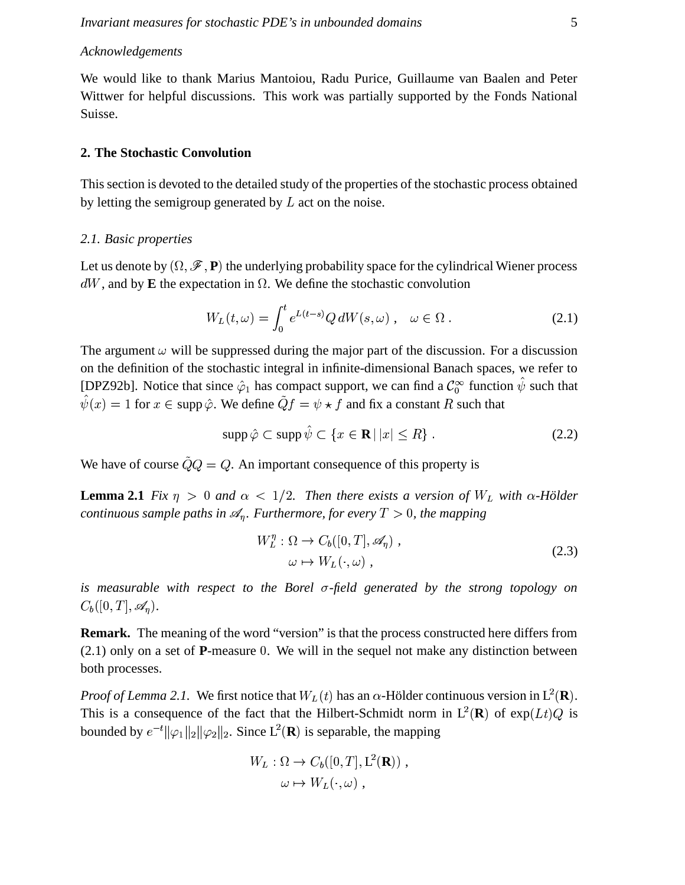### Acknowledgements

We would like to thank Marius Mantoiou, Radu Purice, Guillaume van Baalen and Peter Wittwer for helpful discussions. This work was partially supported by the Fonds National Suisse.

#### 2. The Stochastic Convolution

This section is devoted to the detailed study of the properties of the stochastic process obtained by letting the semigroup generated by  $L$  act on the noise.

#### 2.1. Basic properties

Let us denote by  $(\Omega, \mathcal{F}, P)$  the underlying probability space for the cylindrical Wiener process  $dW$ , and by E the expectation in  $\Omega$ . We define the stochastic convolution

$$
W_L(t,\omega) = \int_0^t e^{L(t-s)} Q \, dW(s,\omega) \,, \quad \omega \in \Omega \,.
$$

The argument  $\omega$  will be suppressed during the major part of the discussion. For a discussion on the definition of the stochastic integral in infinite-dimensional Banach spaces, we refer to [DPZ92b]. Notice that since  $\hat{\varphi}_1$  has compact support, we can find a  $\mathcal{C}_0^{\infty}$  function  $\hat{\psi}$  such that  $\hat{\psi}(x) = 1$  for  $x \in \text{supp }\hat{\varphi}$ . We define  $\tilde{Q}f = \psi \star f$  and fix a constant R such that

$$
\operatorname{supp}\hat{\varphi}\subset\operatorname{supp}\hat{\psi}\subset\left\{x\in\mathbf{R}\,|\,|x|\leq R\right\}.\tag{2.2}
$$

We have of course  $\tilde{Q}Q = Q$ . An important consequence of this property is

**Lemma 2.1** Fix  $\eta > 0$  and  $\alpha < 1/2$ . Then there exists a version of  $W_L$  with  $\alpha$ -Hölder continuous sample paths in  $\mathcal{A}_n$ . Furthermore, for every  $T > 0$ , the mapping

$$
W_L^{\eta} : \Omega \to C_b([0, T], \mathscr{A}_{\eta}) ,
$$
  
\n
$$
\omega \mapsto W_L(\cdot, \omega) ,
$$
\n(2.3)

is measurable with respect to the Borel  $\sigma$ -field generated by the strong topology on  $C_b([0,T],\mathscr{A}_\eta).$ 

**Remark.** The meaning of the word "version" is that the process constructed here differs from  $(2.1)$  only on a set of **P**-measure 0. We will in the sequel not make any distinction between both processes.

*Proof of Lemma 2.1.* We first notice that  $W_L(t)$  has an  $\alpha$ -Hölder continuous version in  $L^2(\mathbf{R})$ . This is a consequence of the fact that the Hilbert-Schmidt norm in  $L^2(\mathbf{R})$  of  $\exp(Lt)Q$  is bounded by  $e^{-t} ||\varphi_1||_2 ||\varphi_2||_2$ . Since  $L^2(\mathbf{R})$  is separable, the mapping

$$
W_L: \Omega \to C_b([0, T], L^2(\mathbf{R})),
$$
  

$$
\omega \mapsto W_L(\cdot, \omega) ,
$$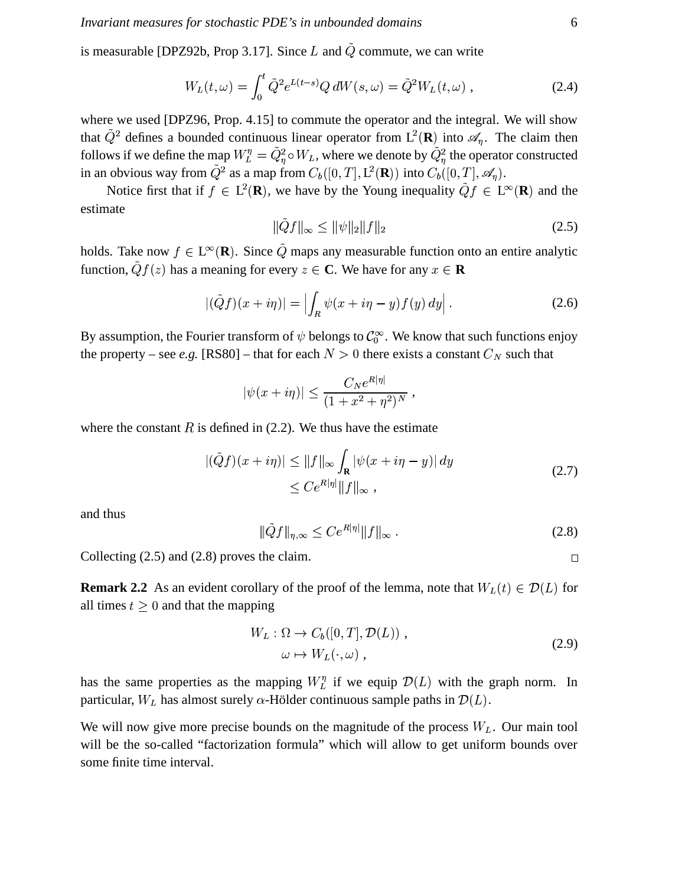is measurable [DPZ92b, Prop 3.17]. Since L and  $\tilde{Q}$  commute, we can write

$$
W_L(t,\omega) = \int_0^t \tilde{Q}^2 e^{L(t-s)} Q \, dW(s,\omega) = \tilde{Q}^2 W_L(t,\omega) \,, \tag{2.4}
$$

where we used [DPZ96, Prop. 4.15] to commute the operator and the integral. We will show that  $\tilde{Q}^2$  defines a bounded continuous linear operator from  $L^2(\mathbf{R})$  into  $\mathcal{A}_\eta$ . The claim then follows if we define the map  $W_L^{\eta} = \tilde{Q}_{\eta}^2 \circ W_L$ , where we denote by  $\tilde{Q}_{\eta}^2$  the operator constructed in an obvious way from  $\tilde{Q}^2$  as a map from  $C_b([0,T], L^2(\mathbf{R}))$  into  $C_b([0,T], \mathscr{A}_\eta)$ .

Notice first that if  $f \in L^2(\mathbf{R})$ , we have by the Young inequality  $\tilde{Q}f \in L^{\infty}(\mathbf{R})$  and the estimate

$$
\|\tilde{Q}f\|_{\infty} \le \|\psi\|_{2} \|f\|_{2} \tag{2.5}
$$

holds. Take now  $f \in L^{\infty}(\mathbf{R})$ . Since  $\tilde{Q}$  maps any measurable function onto an entire analytic function,  $\tilde{Q}f(z)$  has a meaning for every  $z \in \mathbb{C}$ . We have for any  $x \in \mathbb{R}$ 

$$
|(\tilde{Q}f)(x+i\eta)| = \left| \int_R \psi(x+i\eta - y) f(y) dy \right|.
$$
 (2.6)

By assumption, the Fourier transform of  $\psi$  belongs to  $\mathcal{C}_0^{\infty}$ . We know that such functions enjoy the property – see e.g. [RS80] – that for each  $N > 0$  there exists a constant  $C_N$  such that

$$
\psi(x+i\eta)| \leq \frac{C_N e^{R|\eta|}}{(1+x^2+\eta^2)^N},
$$

where the constant  $R$  is defined in (2.2). We thus have the estimate

$$
\begin{aligned} |(\tilde{Q}f)(x+i\eta)| &\le \|f\|_{\infty} \int_{\mathbf{R}} |\psi(x+i\eta-y)| \, dy \\ &\le C e^{R|\eta|} \|f\|_{\infty} \,, \end{aligned} \tag{2.7}
$$

and thus

$$
\|\tilde{Q}f\|_{\eta,\infty} \le Ce^{R|\eta|} \|f\|_{\infty} \,. \tag{2.8}
$$

Collecting  $(2.5)$  and  $(2.8)$  proves the claim.

**Remark 2.2** As an evident corollary of the proof of the lemma, note that  $W_L(t) \in \mathcal{D}(L)$  for all times  $t \geq 0$  and that the mapping

$$
W_L: \Omega \to C_b([0, T], \mathcal{D}(L)),
$$
  
\n
$$
\omega \mapsto W_L(\cdot, \omega),
$$
\n(2.9)

has the same properties as the mapping  $W_L^{\eta}$  if we equip  $\mathcal{D}(L)$  with the graph norm. In particular,  $W_L$  has almost surely  $\alpha$ -Hölder continuous sample paths in  $\mathcal{D}(L)$ .

We will now give more precise bounds on the magnitude of the process  $W_L$ . Our main tool will be the so-called "factorization formula" which will allow to get uniform bounds over some finite time interval.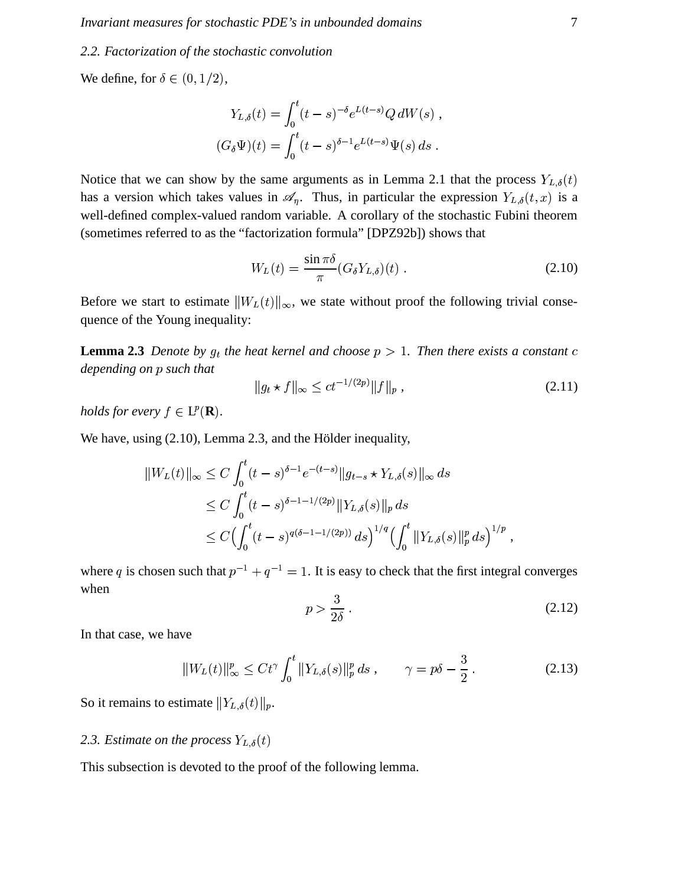#### 2.2. Factorization of the stochastic convolution

We define, for  $\delta \in (0, 1/2)$ ,

$$
Y_{L,\delta}(t) = \int_0^t (t-s)^{-\delta} e^{L(t-s)} Q \, dW(s) ,
$$
  

$$
(G_{\delta} \Psi)(t) = \int_0^t (t-s)^{\delta-1} e^{L(t-s)} \Psi(s) \, ds .
$$

Notice that we can show by the same arguments as in Lemma 2.1 that the process  $Y_{L,\delta}(t)$ has a version which takes values in  $\mathscr{A}_\eta$ . Thus, in particular the expression  $Y_{L,\delta}(t,x)$  is a well-defined complex-valued random variable. A corollary of the stochastic Fubini theorem (sometimes referred to as the "factorization formula" [DPZ92b]) shows that

$$
W_L(t) = \frac{\sin \pi \delta}{\pi} (G_{\delta} Y_{L,\delta})(t) . \qquad (2.10)
$$

Before we start to estimate  $||W_L(t)||_{\infty}$ , we state without proof the following trivial consequence of the Young inequality:

**Lemma 2.3** Denote by  $g_t$  the heat kernel and choose  $p > 1$ . Then there exists a constant c depending on p such that

$$
||g_t \star f||_{\infty} \le ct^{-1/(2p)} ||f||_p , \qquad (2.11)
$$

holds for every  $f \in L^p(\mathbf{R})$ .

We have, using (2.10), Lemma 2.3, and the Hölder inequality,

$$
||W_L(t)||_{\infty} \le C \int_0^t (t-s)^{\delta-1} e^{-(t-s)} ||g_{t-s} \star Y_{L,\delta}(s)||_{\infty} ds
$$
  
\n
$$
\le C \int_0^t (t-s)^{\delta-1-1/(2p)} ||Y_{L,\delta}(s)||_p ds
$$
  
\n
$$
\le C \Big( \int_0^t (t-s)^{q(\delta-1-1/(2p))} ds \Big)^{1/q} \Big( \int_0^t ||Y_{L,\delta}(s)||_p^p ds \Big)^{1/p}
$$

where q is chosen such that  $p^{-1} + q^{-1} = 1$ . It is easy to check that the first integral converges when

$$
p > \frac{3}{2\delta} \tag{2.12}
$$

In that case, we have

$$
||W_L(t)||_{\infty}^p \le Ct^{\gamma} \int_0^t ||Y_{L,\delta}(s)||_p^p ds , \qquad \gamma = p\delta - \frac{3}{2} . \tag{2.13}
$$

So it remains to estimate  $||Y_{L,\delta}(t)||_p$ .

# 2.3. Estimate on the process  $Y_{L,\delta}(t)$

This subsection is devoted to the proof of the following lemma.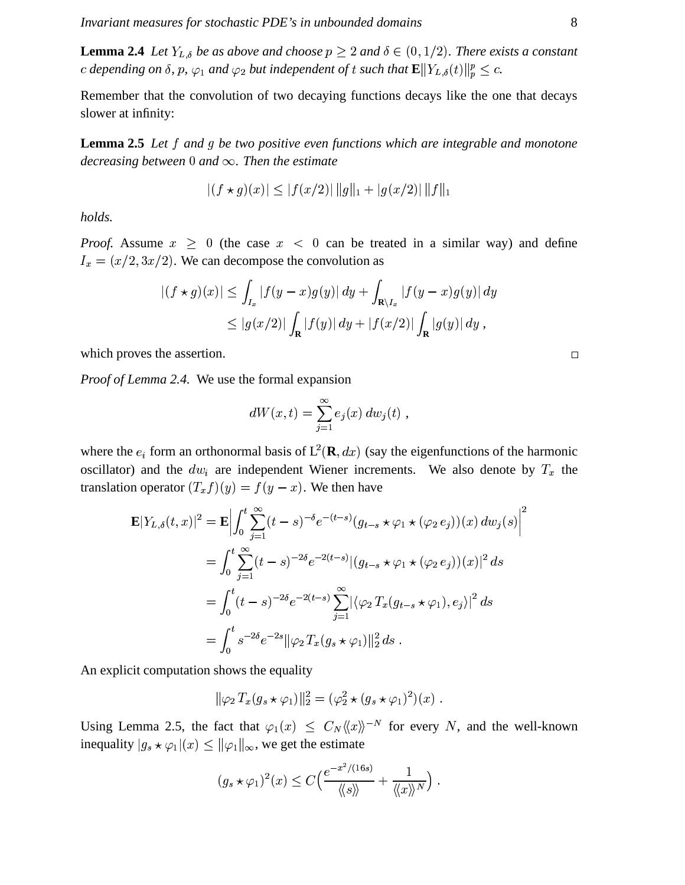**Lemma 2.4** Let  $Y_{L,\delta}$  be as above and choose  $p \geq 2$  and  $\delta \in (0,1/2)$ . There exists a constant c depending on  $\delta$ , p,  $\varphi_1$  and  $\varphi_2$  but independent of t such that  $\mathbf{E} \Vert Y_{L,\delta}(t) \Vert_p^p \leq c$ .

Remember that the convolution of two decaying functions decays like the one that decays slower at infinity:

**Lemma 2.5** Let  $f$  and  $g$  be two positive even functions which are integrable and monotone decreasing between 0 and  $\infty$ . Then the estimate

$$
|(f \star g)(x)| \le |f(x/2)| \, ||g||_1 + |g(x/2)| \, ||f||_1
$$

holds.

*Proof.* Assume  $x \ge 0$  (the case  $x < 0$  can be treated in a similar way) and define  $I_x = (x/2, 3x/2)$ . We can decompose the convolution as

$$
|(f * g)(x)| \leq \int_{I_x} |f(y - x)g(y)| dy + \int_{\mathbf{R}\setminus I_x} |f(y - x)g(y)| dy
$$
  
\n
$$
\leq |g(x/2)| \int_{\mathbf{R}} |f(y)| dy + |f(x/2)| \int_{\mathbf{R}} |g(y)| dy,
$$

which proves the assertion.

*Proof of Lemma 2.4.* We use the formal expansion

$$
dW(x,t) = \sum_{j=1}^{\infty} e_j(x) dw_j(t) ,
$$

where the  $e_i$  form an orthonormal basis of  $L^2(\mathbf{R}, dx)$  (say the eigenfunctions of the harmonic oscillator) and the  $dw_i$  are independent Wiener increments. We also denote by  $T_x$  the translation operator  $(T_x f)(y) = f(y - x)$ . We then have

$$
\mathbf{E}|Y_{L,\delta}(t,x)|^2 = \mathbf{E} \Big| \int_0^t \sum_{j=1}^\infty (t-s)^{-\delta} e^{-(t-s)} (g_{t-s} \star \varphi_1 \star (\varphi_2 e_j))(x) \, dw_j(s) \Big|^2
$$
  
= 
$$
\int_0^t \sum_{j=1}^\infty (t-s)^{-2\delta} e^{-2(t-s)} |(g_{t-s} \star \varphi_1 \star (\varphi_2 e_j))(x)|^2 \, ds
$$
  
= 
$$
\int_0^t (t-s)^{-2\delta} e^{-2(t-s)} \sum_{j=1}^\infty |\langle \varphi_2 T_x (g_{t-s} \star \varphi_1), e_j \rangle|^2 \, ds
$$
  
= 
$$
\int_0^t s^{-2\delta} e^{-2s} ||\varphi_2 T_x (g_s \star \varphi_1)||_2^2 \, ds.
$$

An explicit computation shows the equality

$$
\|\varphi_2 T_x(g_s \star \varphi_1)\|_2^2 = (\varphi_2^2 \star (g_s \star \varphi_1)^2)(x)
$$

Using Lemma 2.5, the fact that  $\varphi_1(x) \leq C_N \langle\langle x \rangle\rangle^{-N}$  for every N, and the well-known inequality  $|g_s \star \varphi_1|(x) \le ||\varphi_1||_{\infty}$ , we get the estimate

$$
(g_s \star \varphi_1)^2(x) \leq C \Big( \frac{e^{-x^2/(16s)}}{\langle \langle s \rangle \rangle} + \frac{1}{\langle \langle x \rangle \rangle^N} \Big).
$$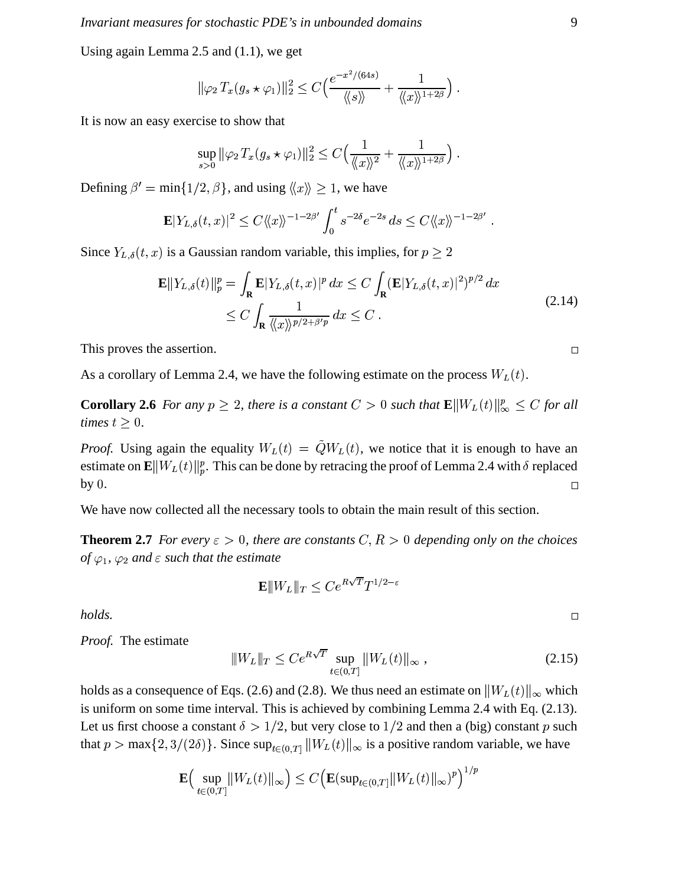Using again Lemma 2.5 and  $(1.1)$ , we get

$$
\|\varphi_2 T_x(g_s \star \varphi_1)\|_2^2 \le C\Big(\frac{e^{-x^2/(64s)}}{\langle \langle s \rangle \rangle} + \frac{1}{\langle \langle x \rangle \rangle^{1+2\beta}}\Big)
$$

It is now an easy exercise to show that

$$
\sup_{s>0} \|\varphi_2 T_x(g_s \star \varphi_1)\|_2^2 \le C \Big(\frac{1}{\langle\!\langle x \rangle\!\rangle^2} + \frac{1}{\langle\!\langle x \rangle\!\rangle^{1+2\beta}}\Big)
$$

Defining  $\beta' = \min\{1/2, \beta\}$ , and using  $\langle x \rangle > 1$ , we have

$$
\mathbf{E}|Y_{L,\delta}(t,x)|^2 \leq C \langle\!\langle x \rangle\!\rangle^{-1-2\beta'} \int_0^t s^{-2\delta} e^{-2s} ds \leq C \langle\!\langle x \rangle\!\rangle^{-1-2\beta'}
$$

Since  $Y_{L,\delta}(t, x)$  is a Gaussian random variable, this implies, for  $p \ge 2$ 

$$
\mathbf{E}||Y_{L,\delta}(t)||_p^p = \int_{\mathbf{R}} \mathbf{E}|Y_{L,\delta}(t,x)|^p dx \le C \int_{\mathbf{R}} (\mathbf{E}|Y_{L,\delta}(t,x)|^2)^{p/2} dx
$$
  
\n
$$
\le C \int_{\mathbf{R}} \frac{1}{\langle\langle x \rangle\rangle^{p/2 + \beta' p}} dx \le C.
$$
\n(2.14)

This proves the assertion.

As a corollary of Lemma 2.4, we have the following estimate on the process  $W_L(t)$ .

**Corollary 2.6** For any  $p \ge 2$ , there is a constant  $C > 0$  such that  $\mathbf{E} ||W_L(t)||_{\infty}^p \le C$  for all times  $t \geq 0$ .

*Proof.* Using again the equality  $W_L(t) = \tilde{Q}W_L(t)$ , we notice that it is enough to have an estimate on  $\mathbf{E} ||W_L(t)||_p^p$ . This can be done by retracing the proof of Lemma 2.4 with  $\delta$  replaced by  $0$ .  $\Box$ 

We have now collected all the necessary tools to obtain the main result of this section.

**Theorem 2.7** For every  $\varepsilon > 0$ , there are constants  $C, R > 0$  depending only on the choices of  $\varphi_1$ ,  $\varphi_2$  and  $\varepsilon$  such that the estimate

$$
\mathbf{E}|\!|\!| W_L |\!|\!|_T \leq Ce^{R\sqrt{T}}T^{1/2-\varepsilon}
$$

holds.

Proof. The estimate

$$
||W_L||_T \le Ce^{R\sqrt{T}} \sup_{t \in (0,T]} ||W_L(t)||_{\infty}, \qquad (2.15)
$$

holds as a consequence of Eqs. (2.6) and (2.8). We thus need an estimate on  $||W_L(t)||_{\infty}$  which is uniform on some time interval. This is achieved by combining Lemma 2.4 with Eq. (2.13). Let us first choose a constant  $\delta > 1/2$ , but very close to  $1/2$  and then a (big) constant p such that  $p > \max\{2, 3/(2\delta)\}\)$ . Since  $\sup_{t \in (0,T]} ||W_L(t)||_{\infty}$  is a positive random variable, we have

$$
\mathbf{E}\Big(\sup_{t\in(0,T]}\|W_L(t)\|_{\infty}\Big)\leq C\Big(\mathbf{E}(\sup_{t\in(0,T]}\|W_L(t)\|_{\infty})^p\Big)^{1/p}
$$

 $\Box$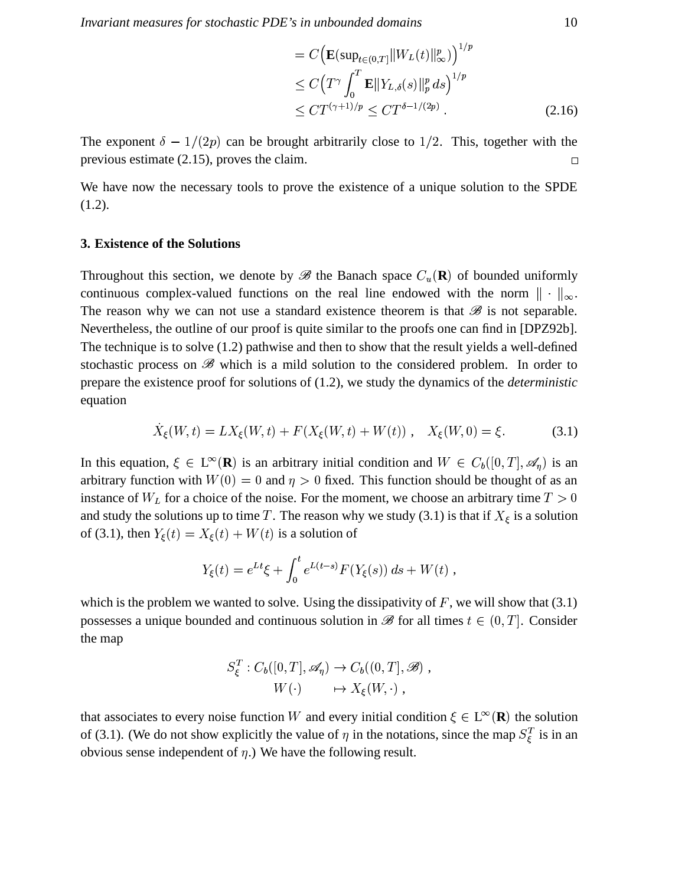$$
= C \Big( \mathbf{E} (\sup_{t \in (0,T]} ||W_L(t)||_{\infty}^p) \Big)^{1/p}
$$
  
\n
$$
\leq C \Big( T^{\gamma} \int_0^T \mathbf{E} ||Y_{L,\delta}(s)||_p^p ds \Big)^{1/p}
$$
  
\n
$$
\leq C T^{(\gamma+1)/p} \leq C T^{\delta-1/(2p)} . \tag{2.16}
$$

The exponent  $\delta - 1/(2p)$  can be brought arbitrarily close to 1/2. This, together with the previous estimate  $(2.15)$ , proves the claim.  $\Box$ 

We have now the necessary tools to prove the existence of a unique solution to the SPDE  $(1.2).$ 

#### 3. Existence of the Solutions

Throughout this section, we denote by  $\mathscr B$  the Banach space  $C_u(\mathbf{R})$  of bounded uniformly continuous complex-valued functions on the real line endowed with the norm  $\|\cdot\|_{\infty}$ . The reason why we can not use a standard existence theorem is that  $\mathscr B$  is not separable. Nevertheless, the outline of our proof is quite similar to the proofs one can find in [DPZ92b]. The technique is to solve  $(1.2)$  pathwise and then to show that the result yields a well-defined stochastic process on  $\mathscr{B}$  which is a mild solution to the considered problem. In order to prepare the existence proof for solutions of  $(1.2)$ , we study the dynamics of the *deterministic* equation

$$
X_{\xi}(W,t) = LX_{\xi}(W,t) + F(X_{\xi}(W,t) + W(t)), \quad X_{\xi}(W,0) = \xi.
$$
 (3.1)

In this equation,  $\xi \in L^{\infty}(\mathbf{R})$  is an arbitrary initial condition and  $W \in C_b([0,T], \mathcal{A}_n)$  is an arbitrary function with  $W(0) = 0$  and  $\eta > 0$  fixed. This function should be thought of as an instance of  $W_L$  for a choice of the noise. For the moment, we choose an arbitrary time  $T > 0$ and study the solutions up to time T. The reason why we study (3.1) is that if  $X_{\xi}$  is a solution of (3.1), then  $Y_{\xi}(t) = X_{\xi}(t) + W(t)$  is a solution of

$$
Y_{\xi}(t) = e^{Lt}\xi + \int_0^t e^{L(t-s)} F(Y_{\xi}(s)) ds + W(t) ,
$$

which is the problem we wanted to solve. Using the dissipativity of F, we will show that  $(3.1)$ possesses a unique bounded and continuous solution in  $\mathscr{B}$  for all times  $t \in (0, T]$ . Consider the map

$$
S_{\xi}^{T}: C_{b}([0, T], \mathscr{A}_{\eta}) \to C_{b}((0, T], \mathscr{B}),
$$
  

$$
W(\cdot) \longrightarrow X_{\xi}(W, \cdot) ,
$$

that associates to every noise function W and every initial condition  $\xi \in L^{\infty}(\mathbf{R})$  the solution of (3.1). (We do not show explicitly the value of  $\eta$  in the notations, since the map  $S_{\xi}^{T}$  is in an obvious sense independent of  $\eta$ .) We have the following result.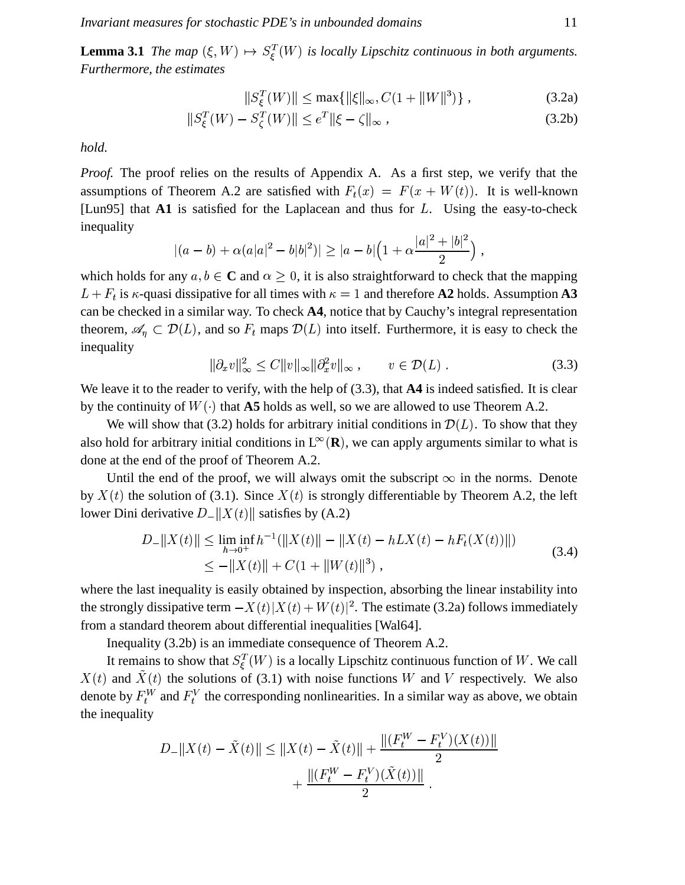Invariant measures for stochastic PDE's in unbounded domains

**Lemma 3.1** The map  $(\xi, W) \mapsto S_{\xi}^{T}(W)$  is locally Lipschitz continuous in both arguments. Furthermore, the estimates

$$
||S_{\xi}^{T}(W)|| \le \max\{||\xi||_{\infty}, C(1 + ||W||^{3})\},\tag{3.2a}
$$

$$
||S_{\xi}^{T}(W) - S_{\zeta}^{T}(W)|| \le e^{T} ||\xi - \zeta||_{\infty}, \qquad (3.2b)
$$

hold.

*Proof.* The proof relies on the results of Appendix A. As a first step, we verify that the assumptions of Theorem A.2 are satisfied with  $F_t(x) = F(x + W(t))$ . It is well-known [Lun95] that  $\Lambda$ 1 is satisfied for the Laplacean and thus for L. Using the easy-to-check inequality

$$
(a-b) + \alpha(a|a|^2 - b|b|^2)| \geq |a-b|\left(1 + \alpha \frac{|a|^2 + |b|^2}{2}\right),
$$

which holds for any  $a, b \in \mathbb{C}$  and  $\alpha \geq 0$ , it is also straightforward to check that the mapping  $L + F_t$  is  $\kappa$ -quasi dissipative for all times with  $\kappa = 1$  and therefore A2 holds. Assumption A3 can be checked in a similar way. To check A4, notice that by Cauchy's integral representation theorem,  $\mathscr{A}_n \subset \mathcal{D}(L)$ , and so  $F_t$  maps  $\mathcal{D}(L)$  into itself. Furthermore, it is easy to check the inequality

$$
\|\partial_x v\|_{\infty}^2 \le C \|v\|_{\infty} \|\partial_x^2 v\|_{\infty}, \qquad v \in \mathcal{D}(L) .
$$
 (3.3)

We leave it to the reader to verify, with the help of  $(3.3)$ , that  $\mathbf{A4}$  is indeed satisfied. It is clear by the continuity of  $W(\cdot)$  that A5 holds as well, so we are allowed to use Theorem A.2.

We will show that (3.2) holds for arbitrary initial conditions in  $\mathcal{D}(L)$ . To show that they also hold for arbitrary initial conditions in  $L^{\infty}(\mathbf{R})$ , we can apply arguments similar to what is done at the end of the proof of Theorem A.2.

Until the end of the proof, we will always omit the subscript  $\infty$  in the norms. Denote by  $X(t)$  the solution of (3.1). Since  $X(t)$  is strongly differentiable by Theorem A.2, the left lower Dini derivative  $D_{-}||X(t)||$  satisfies by (A.2)

$$
D_{-}||X(t)|| \leq \liminf_{h \to 0^{+}} h^{-1}(||X(t)|| - ||X(t) - hLX(t) - hF_{t}(X(t))||)
$$
  
\n
$$
\leq -||X(t)|| + C(1 + ||W(t)||^{3}),
$$
\n(3.4)

where the last inequality is easily obtained by inspection, absorbing the linear instability into the strongly dissipative term  $-X(t)|X(t) + W(t)|^2$ . The estimate (3.2a) follows immediately from a standard theorem about differential inequalities [Wal64].

Inequality (3.2b) is an immediate consequence of Theorem A.2.

It remains to show that  $S_{\xi}^{T}(W)$  is a locally Lipschitz continuous function of W. We call  $X(t)$  and  $\tilde{X}(t)$  the solutions of (3.1) with noise functions W and V respectively. We also denote by  $F_t^W$  and  $F_t^V$  the corresponding nonlinearities. In a similar way as above, we obtain the inequality

$$
D_{-}||X(t) - \tilde{X}(t)|| \le ||X(t) - \tilde{X}(t)|| + \frac{||(F_t^W - F_t^V)(X(t))||}{2} + \frac{||(F_t^W - F_t^V)(\tilde{X}(t))||}{2}.
$$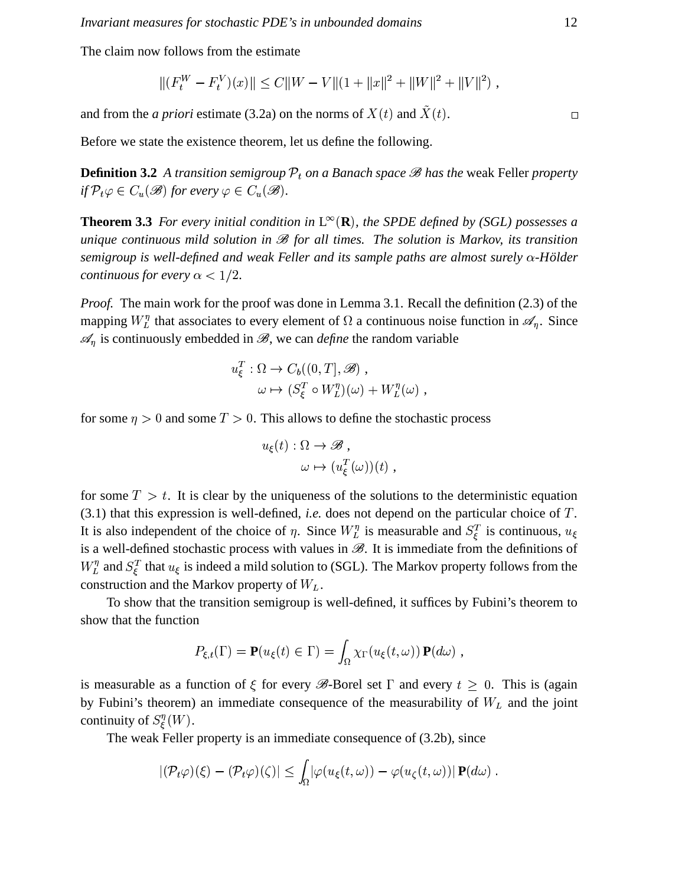The claim now follows from the estimate

$$
||(F_t^W - F_t^V)(x)|| \le C||W - V||(1 + ||x||^2 + ||W||^2 + ||V||^2),
$$

and from the *a priori* estimate (3.2a) on the norms of  $X(t)$  and  $\tilde{X}(t)$ .

Before we state the existence theorem, let us define the following.

**Definition 3.2** A transition semigroup  $P_t$  on a Banach space  $\mathscr B$  has the weak Feller property if  $\mathcal{P}_t \varphi \in C_u(\mathscr{B})$  for every  $\varphi \in C_u(\mathscr{B})$ .

**Theorem 3.3** For every initial condition in  $L^{\infty}(\mathbf{R})$ , the SPDE defined by (SGL) possesses a unique continuous mild solution in  $\mathcal B$  for all times. The solution is Markov, its transition semigroup is well-defined and weak Feller and its sample paths are almost surely  $\alpha$ -Hölder *continuous for every*  $\alpha$  < 1/2.

*Proof.* The main work for the proof was done in Lemma 3.1. Recall the definition (2.3) of the mapping  $W_L^{\eta}$  that associates to every element of  $\Omega$  a continuous noise function in  $\mathscr{A}_n$ . Since  $\mathcal{A}_n$  is continuously embedded in  $\mathcal{B}$ , we can *define* the random variable

$$
u_{\xi}^{T}: \Omega \to C_b((0, T], \mathscr{B}),
$$
  

$$
\omega \mapsto (S_{\xi}^{T} \circ W_{L}^{\eta})(\omega) + W_{L}^{\eta}(\omega),
$$

for some  $\eta > 0$  and some  $T > 0$ . This allows to define the stochastic process

$$
u_{\xi}(t) : \Omega \to \mathscr{B},
$$
  

$$
\omega \mapsto (u_{\xi}^{T}(\omega))(t),
$$

for some  $T > t$ . It is clear by the uniqueness of the solutions to the deterministic equation  $(3.1)$  that this expression is well-defined, *i.e.* does not depend on the particular choice of  $T$ . It is also independent of the choice of  $\eta$ . Since  $W_L^{\eta}$  is measurable and  $S_{\xi}^T$  is continuous,  $u_{\xi}$ is a well-defined stochastic process with values in  $\mathcal{B}$ . It is immediate from the definitions of  $W_L^{\eta}$  and  $S_{\xi}^T$  that  $u_{\xi}$  is indeed a mild solution to (SGL). The Markov property follows from the construction and the Markov property of  $W_L$ .

To show that the transition semigroup is well-defined, it suffices by Fubini's theorem to show that the function

$$
P_{\xi,t}(\Gamma) = \mathbf{P}(u_{\xi}(t) \in \Gamma) = \int_{\Omega} \chi_{\Gamma}(u_{\xi}(t,\omega)) \mathbf{P}(d\omega) ,
$$

is measurable as a function of  $\xi$  for every  $\mathscr{B}$ -Borel set  $\Gamma$  and every  $t \geq 0$ . This is (again by Fubini's theorem) an immediate consequence of the measurability of  $W_L$  and the joint continuity of  $S_{\varepsilon}^{\eta}(W)$ .

The weak Feller property is an immediate consequence of  $(3.2b)$ , since

$$
|(\mathcal{P}_t\varphi)(\xi)-(\mathcal{P}_t\varphi)(\zeta)|\leq \int_{\Omega}|\varphi(u_{\xi}(t,\omega))-\varphi(u_{\zeta}(t,\omega))| \mathbf{P}(d\omega).
$$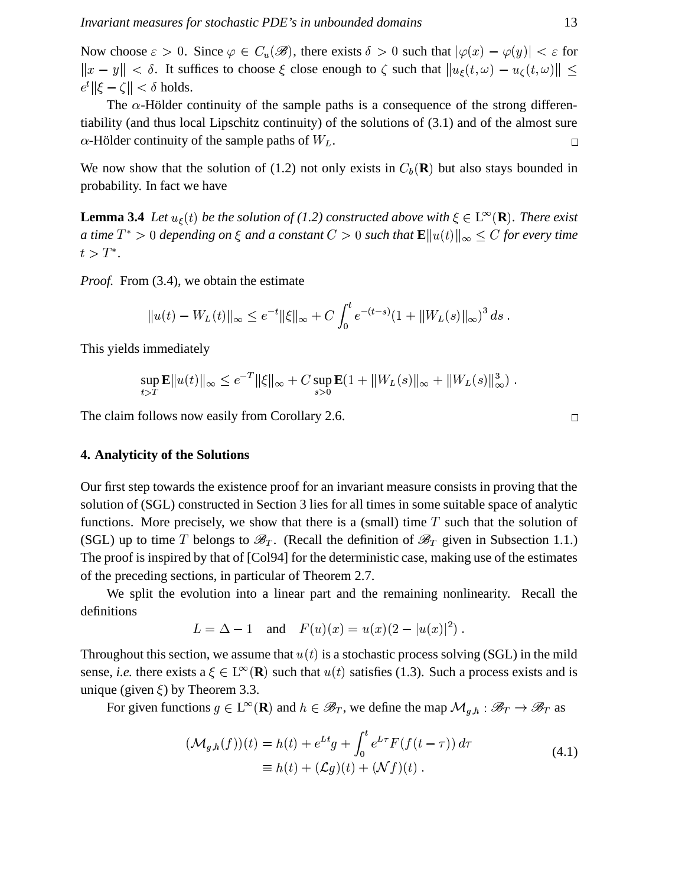Now choose  $\varepsilon > 0$ . Since  $\varphi \in C_u(\mathscr{B})$ , there exists  $\delta > 0$  such that  $|\varphi(x) - \varphi(y)| < \varepsilon$  for  $||x - y|| < \delta$ . It suffices to choose  $\xi$  close enough to  $\zeta$  such that  $||u_{\xi}(t, \omega) - u_{\zeta}(t, \omega)|| \le$  $||e^t|| \xi - \zeta|| < \delta$  holds.

The  $\alpha$ -Hölder continuity of the sample paths is a consequence of the strong differentiability (and thus local Lipschitz continuity) of the solutions of (3.1) and of the almost sure  $\alpha$ -Hölder continuity of the sample paths of  $W_L$ .  $\Box$ 

We now show that the solution of (1.2) not only exists in  $C_b(\mathbf{R})$  but also stays bounded in probability. In fact we have

**Lemma 3.4** Let  $u_{\xi}(t)$  be the solution of (1.2) constructed above with  $\xi \in L^{\infty}(\mathbf{R})$ . There exist a time  $T^* > 0$  depending on  $\xi$  and a constant  $C > 0$  such that  $\mathbf{E} ||u(t)||_{\infty} \leq C$  for every time  $t > T^*$ .

*Proof.* From (3.4), we obtain the estimate

$$
||u(t) - W_L(t)||_{\infty} \le e^{-t} ||\xi||_{\infty} + C \int_0^t e^{-(t-s)} (1 + ||W_L(s)||_{\infty})^3 ds.
$$

This yields immediately

$$
\sup_{t>T} \mathbf{E} ||u(t)||_{\infty} \le e^{-T} ||\xi||_{\infty} + C \sup_{s>0} \mathbf{E}(1 + ||W_L(s)||_{\infty} + ||W_L(s)||_{\infty}^3)
$$

The claim follows now easily from Corollary 2.6.

### 4. Analyticity of the Solutions

Our first step towards the existence proof for an invariant measure consists in proving that the solution of (SGL) constructed in Section 3 lies for all times in some suitable space of analytic functions. More precisely, we show that there is a (small) time  $T$  such that the solution of (SGL) up to time T belongs to  $\mathcal{B}_T$ . (Recall the definition of  $\mathcal{B}_T$  given in Subsection 1.1.) The proof is inspired by that of [Col94] for the deterministic case, making use of the estimates of the preceding sections, in particular of Theorem 2.7.

We split the evolution into a linear part and the remaining nonlinearity. Recall the definitions

$$
L = \Delta - 1
$$
 and  $F(u)(x) = u(x)(2 - |u(x)|^2)$ .

Throughout this section, we assume that  $u(t)$  is a stochastic process solving (SGL) in the mild sense, *i.e.* there exists  $a \in L^{\infty}(\mathbf{R})$  such that  $u(t)$  satisfies (1.3). Such a process exists and is unique (given  $\xi$ ) by Theorem 3.3.

For given functions  $g \in L^{\infty}(\mathbf{R})$  and  $h \in \mathscr{B}_T$ , we define the map  $\mathcal{M}_{g,h} : \mathscr{B}_T \to \mathscr{B}_T$  as

$$
(\mathcal{M}_{g,h}(f))(t) = h(t) + e^{Lt}g + \int_0^t e^{L\tau} F(f(t-\tau)) d\tau
$$
  
\n
$$
\equiv h(t) + (\mathcal{L}g)(t) + (\mathcal{N}f)(t) .
$$
\n(4.1)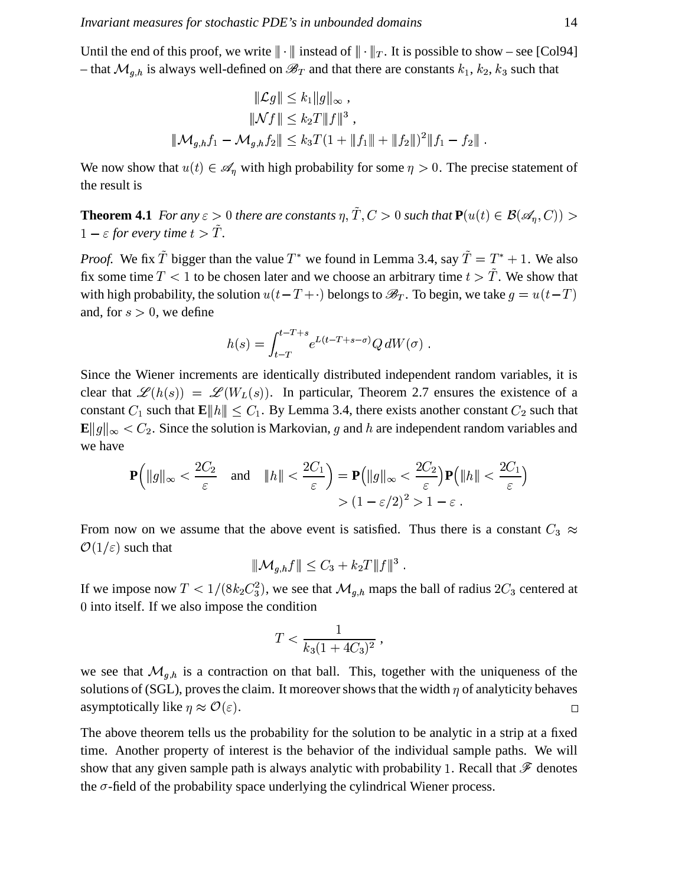Until the end of this proof, we write  $\|\cdot\|$  instead of  $\|\cdot\|_T$ . It is possible to show – see [Col94] - that  $\mathcal{M}_{g,h}$  is always well-defined on  $\mathcal{B}_T$  and that there are constants  $k_1, k_2, k_3$  such that

$$
\|\mathcal{L}g\| \le k_1 \|g\|_{\infty},
$$
  

$$
\|\mathcal{N}f\| \le k_2 T \|f\|^3,
$$
  

$$
\|\mathcal{M}_{g,h}f_1 - \mathcal{M}_{g,h}f_2\| \le k_3 T (1 + \|f_1\| + \|f_2\|)^2 \|f_1 - f_2\|
$$

We now show that  $u(t) \in \mathcal{A}_n$  with high probability for some  $\eta > 0$ . The precise statement of the result is

**Theorem 4.1** For any  $\varepsilon > 0$  there are constants  $\eta, \tilde{T}, C > 0$  such that  $\mathbf{P}(u(t) \in \mathcal{B}(\mathcal{A}_n, C)) >$  $1 - \varepsilon$  for every time  $t > \tilde{T}$ .

*Proof.* We fix  $\tilde{T}$  bigger than the value  $T^*$  we found in Lemma 3.4, say  $\tilde{T} = T^* + 1$ . We also fix some time  $T < 1$  to be chosen later and we choose an arbitrary time  $t > \tilde{T}$ . We show that with high probability, the solution  $u(t-T+\cdot)$  belongs to  $\mathscr{B}_T$ . To begin, we take  $g = u(t-T)$ and, for  $s > 0$ , we define

$$
h(s) = \int_{t-T}^{t-T+s} e^{L(t-T+s-\sigma)} Q dW(\sigma) .
$$

Since the Wiener increments are identically distributed independent random variables, it is clear that  $\mathscr{L}(h(s)) = \mathscr{L}(W_L(s))$ . In particular, Theorem 2.7 ensures the existence of a constant  $C_1$  such that  $\mathbf{E} ||h|| \leq C_1$ . By Lemma 3.4, there exists another constant  $C_2$  such that  $\mathbf{E} ||g||_{\infty} < C_2$ . Since the solution is Markovian, g and h are independent random variables and we have

$$
\mathbf{P}\left(\|g\|_{\infty} < \frac{2C_2}{\varepsilon} \quad \text{and} \quad \|h\| < \frac{2C_1}{\varepsilon}\right) = \mathbf{P}\left(\|g\|_{\infty} < \frac{2C_2}{\varepsilon}\right) \mathbf{P}\left(\|h\| < \frac{2C_1}{\varepsilon}\right) \\
> \left(1 - \varepsilon/2\right)^2 > 1 - \varepsilon \; .
$$

From now on we assume that the above event is satisfied. Thus there is a constant  $C_3 \approx$  $\mathcal{O}(1/\varepsilon)$  such that

$$
\|\mathcal{M}_{g,h}f\| \leq C_3 + k_2T \|f\|^3.
$$

If we impose now  $T < 1/(8k_2C_3^2)$ , we see that  $\mathcal{M}_{q,h}$  maps the ball of radius  $2C_3$  centered at 0 into itself. If we also impose the condition

$$
T < \frac{1}{k_3(1+4C_3)^2} \,,
$$

we see that  $\mathcal{M}_{g,h}$  is a contraction on that ball. This, together with the uniqueness of the solutions of (SGL), proves the claim. It moreover shows that the width  $\eta$  of analyticity behaves asymptotically like  $\eta \approx \mathcal{O}(\varepsilon)$ .  $\Box$ 

The above theorem tells us the probability for the solution to be analytic in a strip at a fixed time. Another property of interest is the behavior of the individual sample paths. We will show that any given sample path is always analytic with probability 1. Recall that  $\mathscr F$  denotes the  $\sigma$ -field of the probability space underlying the cylindrical Wiener process.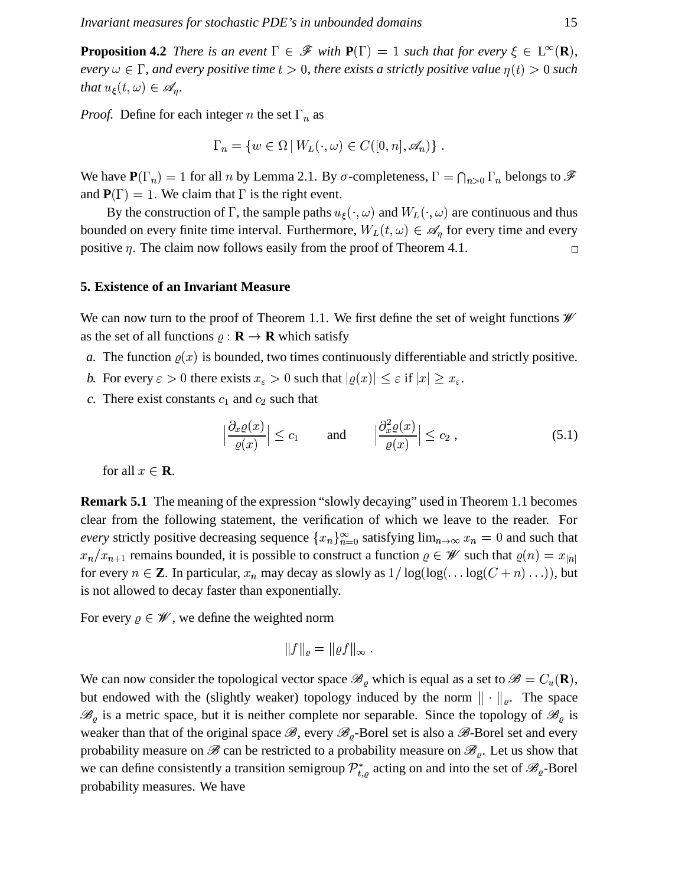**Proposition 4.2** There is an event  $\Gamma \in \mathcal{F}$  with  $P(\Gamma) = 1$  such that for every  $\xi \in L^{\infty}(\mathbb{R})$ , every  $\omega \in \Gamma$ , and every positive time  $t > 0$ , there exists a strictly positive value  $\eta(t) > 0$  such that  $u_{\xi}(t,\omega) \in \mathscr{A}_n$ .

*Proof.* Define for each integer *n* the set  $\Gamma_n$  as

$$
\Gamma_n = \{ w \in \Omega \mid W_L(\cdot, \omega) \in C([0, n], \mathscr{A}_n) \}
$$

We have  $P(\Gamma_n) = 1$  for all *n* by Lemma 2.1. By  $\sigma$ -completeness,  $\Gamma = \bigcap_{n>0} \Gamma_n$  belongs to  $\mathscr F$ and  $P(\Gamma) = 1$ . We claim that  $\Gamma$  is the right event.

By the construction of  $\Gamma$ , the sample paths  $u_{\xi}(\cdot,\omega)$  and  $W_L(\cdot,\omega)$  are continuous and thus bounded on every finite time interval. Furthermore,  $W_L(t, \omega) \in \mathscr{A}_\eta$  for every time and every positive  $\eta$ . The claim now follows easily from the proof of Theorem 4.1.  $\Box$ 

#### **5. Existence of an Invariant Measure**

We can now turn to the proof of Theorem 1.1. We first define the set of weight functions  $\mathscr W$ as the set of all functions  $\rho : \mathbf{R} \to \mathbf{R}$  which satisfy

- a. The function  $\rho(x)$  is bounded, two times continuously differentiable and strictly positive.
- b. For every  $\varepsilon > 0$  there exists  $x_{\varepsilon} > 0$  such that  $|\varrho(x)| \leq \varepsilon$  if  $|x| \geq x_{\varepsilon}$ .
- c. There exist constants  $c_1$  and  $c_2$  such that

$$
\left|\frac{\partial_x \varrho(x)}{\varrho(x)}\right| \le c_1 \quad \text{and} \quad \left|\frac{\partial_x^2 \varrho(x)}{\varrho(x)}\right| \le c_2 ,\qquad (5.1)
$$

for all  $x \in \mathbf{R}$ .

**Remark 5.1** The meaning of the expression "slowly decaying" used in Theorem 1.1 becomes clear from the following statement, the verification of which we leave to the reader. For every strictly positive decreasing sequence  ${x_n}_{n=0}^{\infty}$  satisfying  $\lim_{n\to\infty} x_n = 0$  and such that  $x_n/x_{n+1}$  remains bounded, it is possible to construct a function  $\varrho \in \mathscr{W}$  such that  $\varrho(n) = x_{|n|}$ for every  $n \in \mathbb{Z}$ . In particular,  $x_n$  may decay as slowly as  $1/\log(\log(\ldots \log(C+n) \ldots))$ , but is not allowed to decay faster than exponentially.

For every  $\rho \in \mathscr{W}$ , we define the weighted norm

$$
||f||_{\varrho} = ||\varrho f||_{\infty}
$$

We can now consider the topological vector space  $\mathscr{B}_{\rho}$  which is equal as a set to  $\mathscr{B} = C_u(\mathbf{R})$ , but endowed with the (slightly weaker) topology induced by the norm  $\|\cdot\|_{\varrho}$ . The space  $\mathscr{B}_{\rho}$  is a metric space, but it is neither complete nor separable. Since the topology of  $\mathscr{B}_{\rho}$  is weaker than that of the original space  $\mathscr{B}$ , every  $\mathscr{B}_{\varrho}$ -Borel set is also a  $\mathscr{B}$ -Borel set and every probability measure on  $\mathscr B$  can be restricted to a probability measure on  $\mathscr B_\varrho$ . Let us show that we can define consistently a transition semigroup  $\mathcal{P}_{t,o}^*$  acting on and into the set of  $\mathscr{B}_{\varrho}$ -Borel probability measures. We have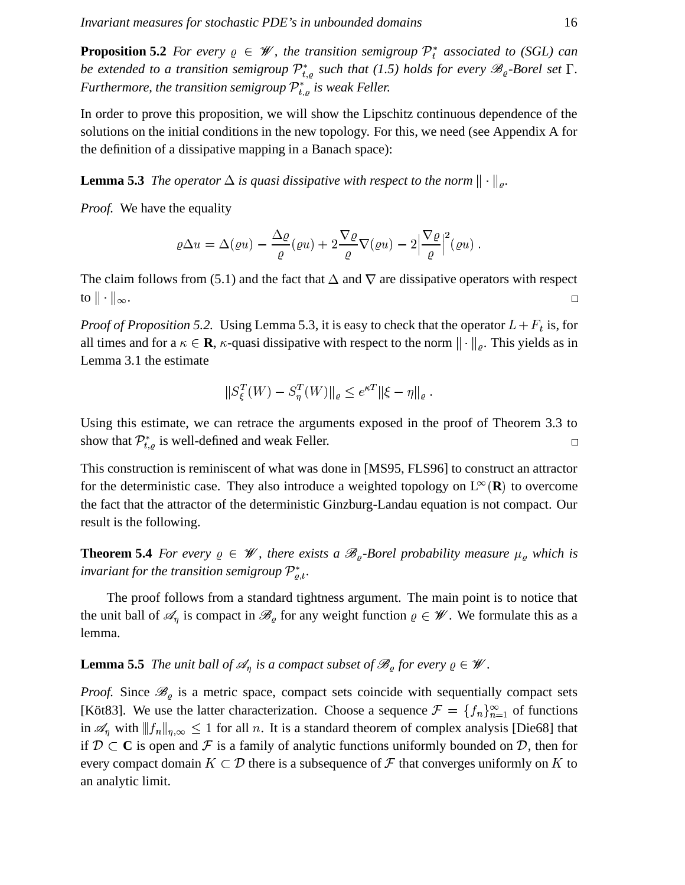**Proposition 5.2** *For every*  $\varrho \in \mathcal{W}$ , the transition *semigroup*  $\mathcal{P}_t^*$  *associated to (SGL) can be* extended to a transition semigroup  $\mathcal{P}_{t,o}^*$  such that (1.5) holds for every  $\mathscr{B}_o$ -Borel set  $\Gamma$ . *Furthermore, the transition semigroup*  $\mathcal{P}_{t,o}^*$  *is weak Feller.* 

In order to prove this proposition, we will show the Lipschitz continuous dependence of the solutions on the initial conditions in the new topology. For this, we need (see Appendix A for the definition of a dissipative mapping in a Banach space):

**Lemma 5.3** The operator  $\Delta$  is quasi dissipative with respect to the norm  $\|\cdot\|_o$ .

*Proof.* We have the equality

$$
\varrho \Delta u = \Delta(\varrho u) - \frac{\Delta \varrho}{\varrho}(\varrho u) + 2 \frac{\nabla \varrho}{\varrho} \nabla(\varrho u) - 2 \Big| \frac{\nabla \varrho}{\varrho} \Big|^2(\varrho u) .
$$

The claim follows from (5.1) and the fact that  $\Delta$  and  $\nabla$  are dissipative operators with respect to  $\|\cdot\|_{\infty}$ .  $\Box$ 

*Proof of Proposition* 5.2. Using Lemma 5.3, it is easy to check that the operator  $L + F_t$  is, for all times and for a  $\kappa \in \mathbf{R}$ ,  $\kappa$ -quasi dissipative with respect to the norm  $\|\cdot\|_{\rho}$ . This yields as in Lemma 3.1 the estimate

$$
||S_{\xi}^{T}(W) - S_{\eta}^{T}(W)||_{\varrho} \leq e^{\kappa T} ||\xi - \eta||_{\varrho}.
$$

Using this estimate, we can retrace the arguments exposed in the proof of Theorem 3.3 to show that  $\mathcal{P}_{t,o}^*$  is well-defined and weak Feller.  $\Box$ 

This construction is reminiscent of what was done in [MS95, FLS96] to construct an attractor for the deterministic case. They also introduce a weighted topology on  $L^{\infty}(\mathbf{R})$  to overcome the fact that the attractor of the deterministic Ginzburg-Landau equation is not compact. Our result is the following.

**Theorem 5.4** *For every*  $\varrho \in \mathcal{W}$ , *there exists a*  $\mathcal{B}_{\varrho}$ -*Borel probability measure*  $\mu_{\varrho}$  *which is invariant* for the transition semigroup  $\mathcal{P}_{o,t}^*$ .

The proof follows from a standard tightness argument. The main point is to notice that the unit ball of  $\mathscr{A}_\eta$  is compact in  $\mathscr{B}_\varrho$  for any weight function  $\varrho \in \mathscr{W}$ . We formulate this as a lemma.

**Lemma 5.5** *The unit ball of*  $\mathcal{A}_\eta$  *is a compact subset of*  $\mathcal{B}_\rho$  *for every*  $\varrho \in \mathcal{W}$ *.* 

*Proof.* Since  $\mathcal{B}_{\varrho}$  is a metric space, compact sets coincide with sequentially compact sets [Köt83]. We use the latter characterization. Choose a sequence  $\mathcal{F} = \{f_n\}_{n=1}^{\infty}$  of functions in  $\mathscr{A}_\eta$  with  $||f_n||_{\eta,\infty} \leq 1$  for all n. It is a standard theorem of complex analysis [Die68] that if  $\mathcal{D} \subset \mathbf{C}$  is open and  $\mathcal F$  is a family of analytic functions uniformly bounded on  $\mathcal D$ , then for every compact domain  $K \subset \mathcal{D}$  there is a subsequence of  $\mathcal F$  that converges uniformly on  $K$  to an analytic limit.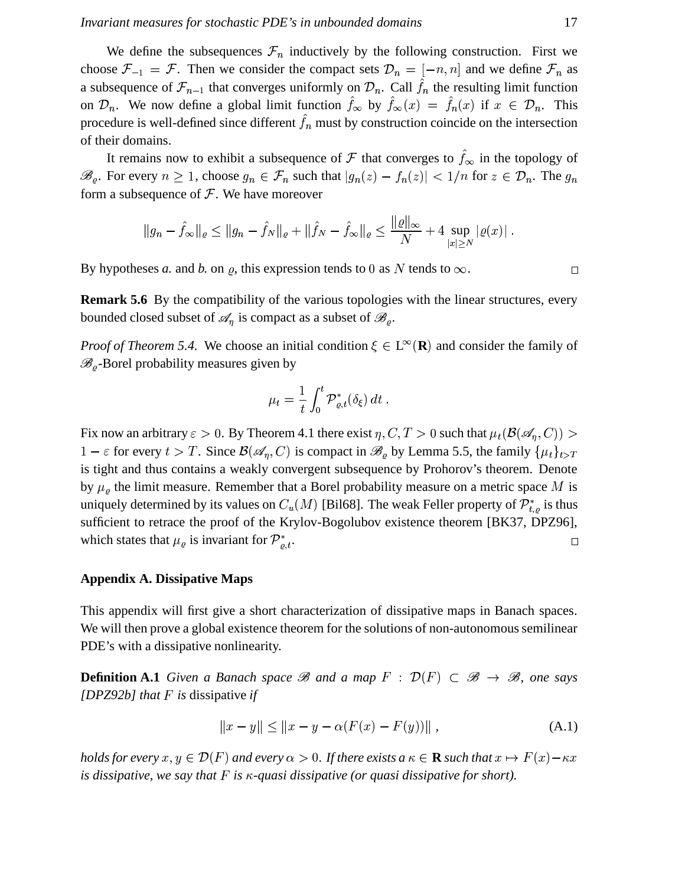We define the subsequences  $\mathcal{F}_n$  inductively by the following construction. First we choose  $\mathcal{F}_{-1} = \mathcal{F}$ . Then we consider the compact sets  $\mathcal{D}_n = [-n, n]$  and we define  $\mathcal{F}_n$  as a subsequence of  $\mathcal{F}_{n-1}$  that converges uniformly on  $\mathcal{D}_n$ . Call  $f_n$  the resulting limit function on  $\mathcal{D}_n$ . We now define a global limit function  $f_{\infty}$  by  $f_{\infty}(x) = f_n(x)$  if  $x \in \mathcal{D}_n$ . This procedure is well-defined since different  $\hat{f}_n$  must by construction coincide on the intersection of their domains.

It remains now to exhibit a subsequence of  $\mathcal F$  that converges to  $f_{\infty}$  in the topology of  $\mathscr{B}_{\rho}$ . For every  $n \geq 1$ , choose  $g_n \in \mathcal{F}_n$  such the <sup>M</sup> heta is  $|g_n(z) - f_n(z)| < 1/n$  for  $z \in \mathcal{D}_n$ . The  $g_n$ form a subsequence of  $\mathcal F$ . We have moreover

$$
||g_n - \hat{f}_{\infty}||_{\varrho} \le ||g_n - \hat{f}_N||_{\varrho} + ||\hat{f}_N - \hat{f}_{\infty}||_{\varrho} \le \frac{||\varrho||_{\infty}}{N} + 4 \sup_{|x| \ge N} |\varrho(x)|.
$$

By hypotheses *a*. and *b*. on *g*, this expression tends to 0 as N tends to  $\infty$ .

**Remark 5.6** By the compatibility of the various topologies with the linear structures, every bounded closed subset of  $\mathscr{A}_n$  is compact as a subset of  $\mathscr{B}_o$ .

*Proof of Theorem 5.4.* We choose an initial condition  $\xi \in L^{\infty}(\mathbf{R})$  and consider the family of  $\mathscr{B}_{\rho}$ -Borel probability measures given by

$$
\mu_t = \frac{1}{t} \int_0^t \mathcal{P}_{\varrho,t}^*(\delta_\xi) dt .
$$

Fix now an arbitrary  $\varepsilon > 0$ . By Theorem 4.1 there exist  $\eta, C, T > 0$  such that  $\mu_t(\mathcal{B}(\mathscr{A}_\eta, C)) > 0$  $1-\varepsilon$  for every  $t > T$ . Since  $\mathcal{B}(\mathscr{A}_n, C)$  is compact in  $\mathscr{B}_{\rho}$  by Lemma 5.5, the family  $\{\mu_t\}_{t>T}$ is tight and thus contains a weakly convergent subsequence by Prohorov's theorem. Denote by  $\mu_{\rho}$  the limit measure. Remember that a Borel probability measure on a metric space M is uniquely determined by its values on  $C_u(M)$  [Bil68]. The weak Feller property of  $\mathcal{P}_{t,a}^*$  is thus sufficient to retrace the proof of the Krylov-Bogolubov existence theorem [BK37, DPZ96], which states that  $\mu_{\varrho}$  is invariant for  $\mathcal{P}_{\varrho,t}^*$ .  $\Box$ 

#### **Appendix A. Dissipative Maps**

This appendix will first give a short characterization of dissipative maps in Banach spaces. We will then prove a global existence theorem for the solutions of non-autonomous semilinear PDE's with a dissipative nonlinearity.

**Definition A.1** *Given a Banach space*  $\mathscr B$  *and a map*  $F : \mathcal D(F) \subset \mathscr B \to \mathscr B$ *, one says* [ $DPZ92b$ ] *that*  $F$  *is* dissipative *if* 

$$
||x - y|| \le ||x - y - \alpha(F(x) - F(y))||,
$$
 (A.1)

holds for every  $x, y \in \mathcal{D}(F)$  and every  $\alpha > 0$ . If there exists a  $\kappa \in \mathbf{R}$  such that  $x \mapsto F(x)-\kappa x$ manager and the contract of the contract of the contract of the contract of the contract of the contract of the contract of the contract of the contract of the contract of the contract of the contract of the contract of th *is* dissipative, we say that  $F$  is  $\kappa$ -quasi dissipative (or quasi dissipative for short).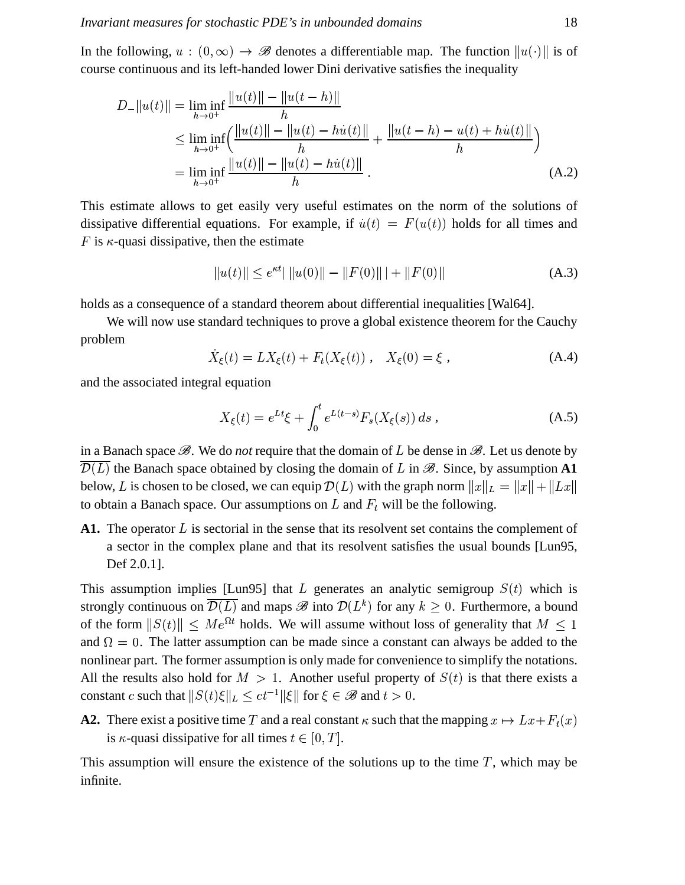In the following,  $u : (0, \infty) \to \mathscr{B}$  denotes a differentiable map. The function  $||u(\cdot)||$  is of course continuous and its left-handed lower Dini derivative satisfies the inequality

$$
D_{-}||u(t)|| = \liminf_{h \to 0^{+}} \frac{||u(t)|| - ||u(t-h)||}{h}
$$
  
\n
$$
\leq \liminf_{h \to 0^{+}} \left( \frac{||u(t)|| - ||u(t) - hu(t)||}{h} + \frac{||u(t-h) - u(t) + hu(t)||}{h} \right)
$$
  
\n
$$
= \liminf_{h \to 0^{+}} \frac{||u(t)|| - ||u(t) - hu(t)||}{h} . \tag{A.2}
$$

This estimate allows to get easily very useful estimates on the norm of the solutions of dissipative differential equations. For example, if  $\dot{u}(t) = F(u(t))$  holds for all times and F is  $\kappa$ -quasi dissipative, then the estimate

$$
||u(t)|| \le e^{\kappa t}||u(0)|| - ||F(0)|| + ||F(0)|| \tag{A.3}
$$

holds as a consequence of a standard theorem about differential inequalities [Wal64].

We will now use standard techniques to prove a global existence theorem for the Cauchy problem

$$
\dot{X}_{\xi}(t) = LX_{\xi}(t) + F_t(X_{\xi}(t)), \quad X_{\xi}(0) = \xi ,
$$
\n(A.4)

and the associated integral equation

$$
X_{\xi}(t) = e^{Lt}\xi + \int_0^t e^{L(t-s)} F_s(X_{\xi}(s)) ds , \qquad (A.5)
$$

in a Banach space  $\mathscr{B}$ . We do *not* require that the domain of L be dense in  $\mathscr{B}$ . Let us denote by  $\mathcal{D}(L)$  the Banach space obtained by closing the domain of L in  $\mathcal{B}$ . Since, by assumption A1 below, L is chosen to be closed, we can equip  $\mathcal{D}(L)$  with the graph norm  $||x||_L = ||x|| + ||Lx||$ to obtain a Banach space. Our assumptions on  $L$  and  $F_t$  will be the following.

A1. The operator  $L$  is sectorial in the sense that its resolvent set contains the complement of a sector in the complex plane and that its resolvent satisfies the usual bounds [Lun95, Def 2.0.1].

This assumption implies [Lun95] that L generates an analytic semigroup  $S(t)$  which is strongly continuous on  $\overline{\mathcal{D}(L)}$  and maps  $\mathscr{B}$  into  $\mathcal{D}(L^k)$  for any  $k \geq 0$ . Furthermore, a bound strongly continuous on  $D(L)$  and map<br>of the form  $||S(t)|| \le Me^{\Omega t}$  holds. V <sup>t</sup> holds. We will assume without loss of generality that  $M \leq 1$ and  $\Omega = 0$ . The latter assumption can be made since a constant can always be added to the nonlinear part. The former assumption is only made for convenience to simplify the notations. All the results also hold for  $M > 1$ . Another useful property of  $S(t)$  is that there exists a constant c such that  $\|S(t)\xi\|_L \le ct^{-1} \|\xi\|$  for  $\xi$  $t^{-1}$ || $\xi$ || for  $\xi \in \mathscr{B}$  and  $t > 0$ .

**A2.** There exist a positive time T and a real constant  $\kappa$  such that the mapping  $x \mapsto Lx + F_t(x)$ is  $\kappa$ -quasi dissipative for all times  $t \in [0, T]$ .

This assumption will ensure the existence of the solutions up to the time  $T$ , which may be infinite.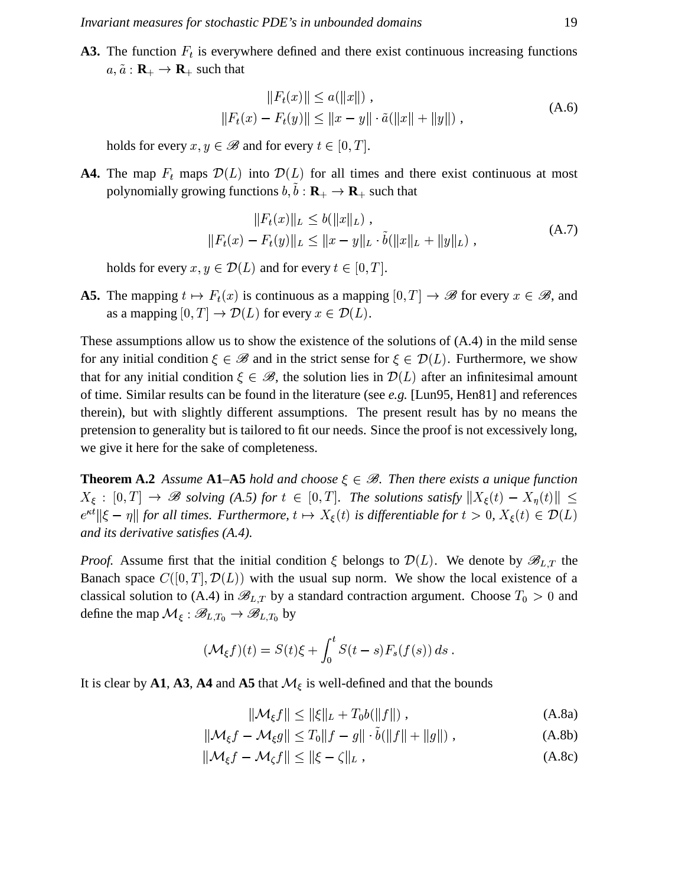**A3.** The function  $F_t$  is everywhere defined and there exist continuous increasing functions  $a, \tilde{a} : \mathbf{R}_{+} \to \mathbf{R}_{+}$  such that

$$
||F_t(x)|| \le a(||x||),
$$
  
\n
$$
||F_t(x) - F_t(y)|| \le ||x - y|| \cdot \tilde{a}(||x|| + ||y||),
$$
\n(A.6)

holds for every  $x, y \in \mathscr{B}$  and for every  $t \in [0, T]$ .

**A4.** The map  $F_t$  maps  $\mathcal{D}(L)$  into  $\mathcal{D}(L)$  for all times and there exist continuous at most polynomially growing functions  $b, b : \mathbf{R}_{+} \to \mathbf{R}_{+}$  such that

$$
||F_t(x)||_L \le b(||x||_L),
$$
  
\n
$$
||F_t(x) - F_t(y)||_L \le ||x - y||_L \cdot \tilde{b}(||x||_L + ||y||_L),
$$
\n(A.7)

holds for every  $x, y \in \mathcal{D}(L)$  and for every  $t \in [0, T]$ .

**A5.** The mapping  $t \mapsto F_t(x)$  is continuous  $F_t(x)$  is continuous as a mapping  $[0, T] \to \mathscr{B}$  for every  $x \in \mathscr{B}$ , and as a mapping  $[0, T] \to \mathcal{D}(L)$  for every  $x \in \mathcal{D}(L)$ .

These assumptions allow us to show the existence of the solutions of (A.4) in the mild sense for any initial condition  $\xi \in \mathcal{B}$  and in the strict sense for  $\xi \in \mathcal{D}(L)$ . Furthermore, we show that for any initial condition  $\xi \in \mathcal{B}$ , the solution lies in  $\mathcal{D}(L)$  after an infinitesimal amount of time. Similar results can be found in the literature (see *e.g.* [Lun95, Hen81] and references therein), but with slightly different assumptions. The present result has by no means the pretension to generality but is tailored to fit our needs. Since the proof is not excessively long, we give it here for the sake of completeness.

**Theorem A.2** Assume **A1–A5** *hold* and choose  $\xi \in \mathcal{B}$ . Then there exists a unique function  $X_{\xi} : [0,T] \to \mathscr{B}$  solving (A.5) for  $t \in [0,T]$ . The solutions satisfy  $||X_{\xi}(t) - X_{\eta}(t)|| \le$  $e^{\kappa t}$ || $\xi - \eta$ || for all times. Furthermore,  $t \mapsto X_{\xi}(t)$  is differentiable for  $t > 0$ ,  $X_{\xi}(t) \in \mathcal{D}(L)$ *and its derivative satisfies (A.4).*

*Proof.* Assume first that the initial condition  $\xi$  belongs to  $\mathcal{D}(L)$ . We denote by  $\mathscr{B}_{L,T}$  the Banach space  $C([0,T], \mathcal{D}(L))$  with the usual sup norm. We show the local existence of a classical solution to (A.4) in  $\mathscr{B}_{L,T}$  by a standard contraction argument. Choose  $T_0 > 0$  and define the map  $\mathcal{M}_{\xi}: \mathscr{B}_{L,T_0} \to \mathscr{B}_{L,T_0}$  by

$$
(\mathcal{M}_{\xi}f)(t)=S(t)\xi+\int_0^tS(t-s)F_s(f(s))\,ds.
$$

It is clear by **A1**, **A3**, **A4** and **A5** that  $M_{\xi}$  is well-defined and that the bounds

$$
\|\mathcal{M}_{\xi}f\| \le \|\xi\|_{L} + T_{0}b(\|f\|) ,\tag{A.8a}
$$

$$
\|\mathcal{M}_{\xi}f - \mathcal{M}_{\xi}g\| \le T_0\|f - g\| \cdot b(\|f\| + \|g\|) , \qquad (A.8b)
$$

 $\|\mathcal{M}_{\varepsilon}f - \mathcal{M}_{\varepsilon}f\| \leq \|\xi - \zeta\|_{L},$  $(A.8c)$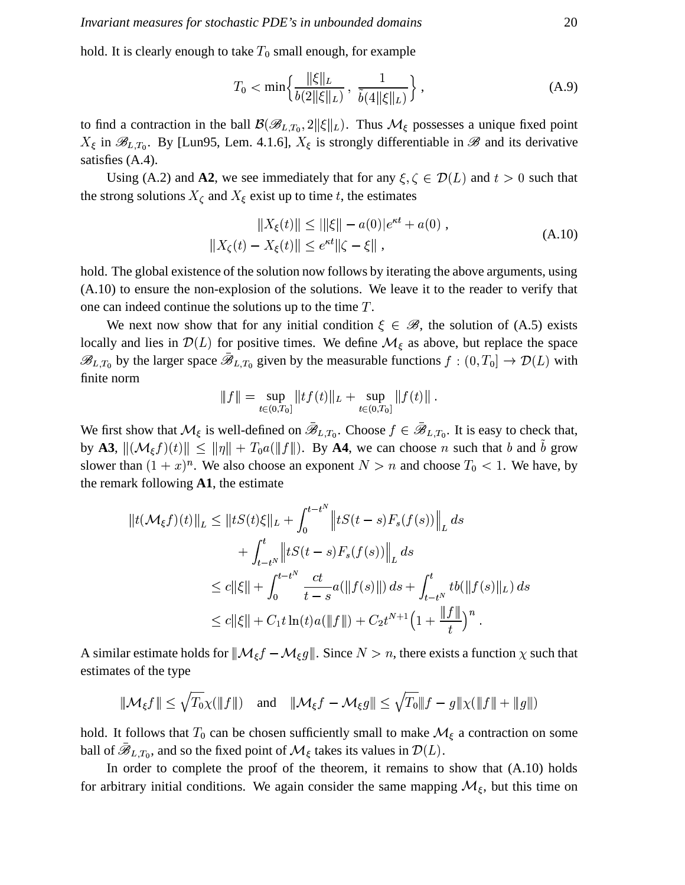hold. It is clearly enough to take  $T_0$  small enough, for example

$$
T_0 < \min\left\{ \frac{\|\xi\|_L}{b(2\|\xi\|_L)}, \ \frac{1}{\tilde{b}(4\|\xi\|_L)} \right\},\tag{A.9}
$$

to find a contraction in the ball  $\mathcal{B}(\mathcal{B}_{L,T_0}, 2||\xi||_L)$ . Thus  $\mathcal{M}_{\xi}$  possesses a unique fixed point  $X_{\xi}$  in  $\mathscr{B}_{L,T_0}$ . By [Lun95, Lem. 4.1.6],  $X_{\xi}$  is strongly differentiable in  $\mathscr{B}$  and its derivative satisfies  $(A.4)$ .

Using (A.2) and A2, we see immediately that for any  $\xi, \zeta \in \mathcal{D}(L)$  and  $t > 0$  such that the strong solutions  $X_{\zeta}$  and  $X_{\xi}$  exist up to time t, the estimates

$$
||X_{\xi}(t)|| \le ||\xi|| - a(0)|e^{\kappa t} + a(0) ,
$$
  

$$
||X_{\zeta}(t) - X_{\xi}(t)|| \le e^{\kappa t} ||\zeta - \xi|| ,
$$
 (A.10)

hold. The global existence of the solution now follows by iterating the above arguments, using  $(A.10)$  to ensure the non-explosion of the solutions. We leave it to the reader to verify that one can indeed continue the solutions up to the time  $T$ .

We next now show that for any initial condition  $\xi \in \mathcal{B}$ , the solution of (A.5) exists locally and lies in  $\mathcal{D}(L)$  for positive times. We define  $\mathcal{M}_{\xi}$  as above, but replace the space  $\mathscr{B}_{L,T_0}$  by the larger space  $\bar{\mathscr{B}}_{L,T_0}$  given by the measurable functions  $f:(0,T_0]\to \mathcal{D}(L)$  with finite norm

$$
||f|| = \sup_{t \in (0,T_0)} ||tf(t)||_L + \sup_{t \in (0,T_0)} ||f(t)||.
$$

We first show that  $\mathcal{M}_{\xi}$  is well-defined on  $\bar{\mathscr{B}}_{L,T_0}$ . Choose  $f \in \bar{\mathscr{B}}_{L,T_0}$ . It is easy to check that, by A3,  $\|(\mathcal{M}_{\xi}f)(t)\| \le \|\eta\| + T_0 a(\|f\|)$ . By A4, we can choose *n* such that *b* and  $\tilde{b}$  grow slower than  $(1 + x)^n$ . We also choose an exponent  $N > n$  and choose  $T_0 < 1$ . We have, by the remark following  $A1$ , the estimate

$$
||t(\mathcal{M}_{\xi}f)(t)||_{L} \leq ||tS(t)\xi||_{L} + \int_{0}^{t-t^{N}} ||tS(t-s)F_{s}(f(s))||_{L} ds
$$
  
+ 
$$
\int_{t-t^{N}}^{t} ||tS(t-s)F_{s}(f(s))||_{L} ds
$$
  

$$
\leq c||\xi|| + \int_{0}^{t-t^{N}} \frac{ct}{t-s} a(||f(s)||) ds + \int_{t-t^{N}}^{t} tb(||f(s)||_{L}) ds
$$
  

$$
\leq c||\xi|| + C_{1}t \ln(t)a(||f||) + C_{2}t^{N+1} \Big(1 + \frac{||f||}{t}\Big)^{n} .
$$

A similar estimate holds for  $\|\mathcal{M}_{\xi}f - \mathcal{M}_{\xi}g\|$ . Since  $N > n$ , there exists a function  $\chi$  such that estimates of the type

$$
\|\mathcal{M}_{\xi}f\| \leq \sqrt{T_0}\chi(\|f\|) \quad \text{and} \quad \|\mathcal{M}_{\xi}f - \mathcal{M}_{\xi}g\| \leq \sqrt{T_0}\|f - g\|\chi(\|f\| + \|g\|)
$$

hold. It follows that  $T_0$  can be chosen sufficiently small to make  $\mathcal{M}_{\xi}$  a contraction on some ball of  $\mathscr{B}_{L,T_0}$ , and so the fixed point of  $\mathcal{M}_{\xi}$  takes its values in  $\mathcal{D}(L)$ .

In order to complete the proof of the theorem, it remains to show that (A.10) holds for arbitrary initial conditions. We again consider the same mapping  $M_{\xi}$ , but this time on